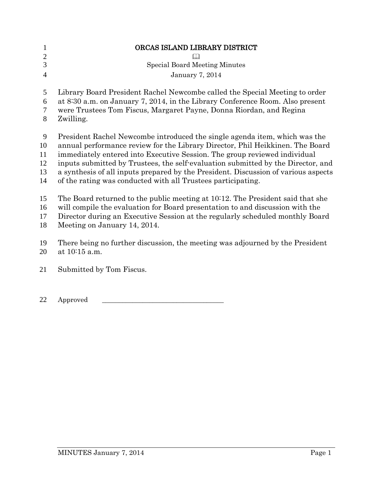| $\mathbf{1}$<br>$\mathbf{2}$<br>3<br>$\overline{4}$ | ORCAS ISLAND LIBRARY DISTRICT<br><b>Special Board Meeting Minutes</b><br><b>January 7, 2014</b> |
|-----------------------------------------------------|-------------------------------------------------------------------------------------------------|
| 5                                                   | Library Board President Rachel Newcombe called the Special Meeting to order                     |
| 6                                                   | at 8:30 a.m. on January 7, 2014, in the Library Conference Room. Also present                   |
| $\overline{7}$                                      | were Trustees Tom Fiscus, Margaret Payne, Donna Riordan, and Regina                             |
| 8                                                   | Zwilling.                                                                                       |
| 9                                                   | President Rachel Newcombe introduced the single agenda item, which was the                      |
| 10                                                  | annual performance review for the Library Director, Phil Heikkinen. The Board                   |
| 11                                                  | immediately entered into Executive Session. The group reviewed individual                       |
| 12                                                  | inputs submitted by Trustees, the self-evaluation submitted by the Director, and                |
| 13                                                  | a synthesis of all inputs prepared by the President. Discussion of various aspects              |
| 14                                                  | of the rating was conducted with all Trustees participating.                                    |
| 15                                                  | The Board returned to the public meeting at 10:12. The President said that she                  |
| 16                                                  | will compile the evaluation for Board presentation to and discussion with the                   |
| 17                                                  | Director during an Executive Session at the regularly scheduled monthly Board                   |
| 18                                                  | Meeting on January 14, 2014.                                                                    |
| 19                                                  | There being no further discussion, the meeting was adjourned by the President                   |
| 20                                                  | at 10:15 a.m.                                                                                   |
| 21                                                  | Submitted by Tom Fiscus.                                                                        |
| 22                                                  | Approved                                                                                        |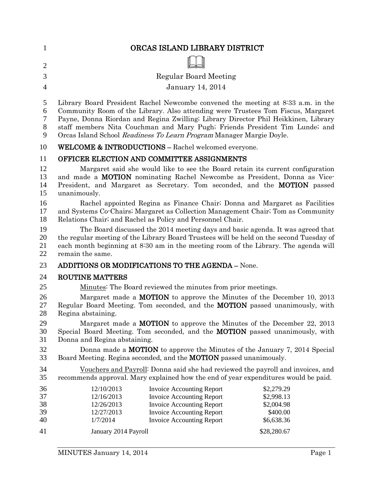| 1              | ORCAS ISLAND LIBRARY DISTRICT                                                                                                                                                  |                          |
|----------------|--------------------------------------------------------------------------------------------------------------------------------------------------------------------------------|--------------------------|
| $\overline{2}$ |                                                                                                                                                                                |                          |
| 3              | <b>Regular Board Meeting</b>                                                                                                                                                   |                          |
| $\overline{4}$ | <b>January 14, 2014</b>                                                                                                                                                        |                          |
|                |                                                                                                                                                                                |                          |
| 5              | Library Board President Rachel Newcombe convened the meeting at 8:33 a.m. in the                                                                                               |                          |
| 6<br>7         | Community Room of the Library. Also attending were Trustees Tom Fiscus, Margaret<br>Payne, Donna Riordan and Regina Zwilling; Library Director Phil Heikkinen, Library         |                          |
| 8              | staff members Nita Couchman and Mary Pugh; Friends President Tim Lunde; and                                                                                                    |                          |
| 9              | Orcas Island School Readiness To Learn Program Manager Margie Doyle.                                                                                                           |                          |
| 10             | <b>WELCOME &amp; INTRODUCTIONS - Rachel welcomed everyone.</b>                                                                                                                 |                          |
| 11             | OFFICER ELECTION AND COMMITTEE ASSIGNMENTS                                                                                                                                     |                          |
| 12             | Margaret said she would like to see the Board retain its current configuration                                                                                                 |                          |
| 13             | and made a <b>MOTION</b> nominating Rachel Newcombe as President, Donna as Vice-                                                                                               |                          |
| 14<br>15       | President, and Margaret as Secretary. Tom seconded, and the <b>MOTION</b> passed<br>unanimously.                                                                               |                          |
| 16             | Rachel appointed Regina as Finance Chair; Donna and Margaret as Facilities                                                                                                     |                          |
| 17             | and Systems Co-Chairs; Margaret as Collection Management Chair; Tom as Community                                                                                               |                          |
| 18             | Relations Chair; and Rachel as Policy and Personnel Chair.                                                                                                                     |                          |
| 19             | The Board discussed the 2014 meeting days and basic agenda. It was agreed that                                                                                                 |                          |
| 20<br>21       | the regular meeting of the Library Board Trustees will be held on the second Tuesday of<br>each month beginning at 8:30 am in the meeting room of the Library. The agenda will |                          |
| 22             | remain the same.                                                                                                                                                               |                          |
| 23             | <b>ADDITIONS OR MODIFICATIONS TO THE AGENDA - None.</b>                                                                                                                        |                          |
| 24             | <b>ROUTINE MATTERS</b>                                                                                                                                                         |                          |
| 25             | Minutes: The Board reviewed the minutes from prior meetings.                                                                                                                   |                          |
| 26             | Margaret made a <b>MOTION</b> to approve the Minutes of the December 10, 2013                                                                                                  |                          |
| 27             | Regular Board Meeting. Tom seconded, and the <b>MOTION</b> passed unanimously, with                                                                                            |                          |
| 28<br>29       | Regina abstaining.<br>Margaret made a <b>MOTION</b> to approve the Minutes of the December 22, 2013                                                                            |                          |
| 30             | Special Board Meeting. Tom seconded, and the <b>MOTION</b> passed unanimously, with                                                                                            |                          |
| 31             | Donna and Regina abstaining.                                                                                                                                                   |                          |
| 32             | Donna made a <b>MOTION</b> to approve the Minutes of the January 7, 2014 Special                                                                                               |                          |
| 33             | Board Meeting. Regina seconded, and the <b>MOTION</b> passed unanimously.                                                                                                      |                          |
| 34             | Vouchers and Payroll: Donna said she had reviewed the payroll and invoices, and                                                                                                |                          |
| 35             | recommends approval. Mary explained how the end of year expenditures would be paid.                                                                                            |                          |
| 36<br>37       | 12/10/2013<br><b>Invoice Accounting Report</b>                                                                                                                                 | \$2,279.29               |
| 38             | 12/16/2013<br><b>Invoice Accounting Report</b><br>Invoice Accounting Report<br>12/26/2013                                                                                      | \$2,998.13<br>\$2,004.98 |
| 39             | 12/27/2013<br><b>Invoice Accounting Report</b>                                                                                                                                 | \$400.00                 |
| 40             | 1/7/2014<br><b>Invoice Accounting Report</b>                                                                                                                                   | \$6,638.36               |
| 41             | January 2014 Payroll                                                                                                                                                           | \$28,280.67              |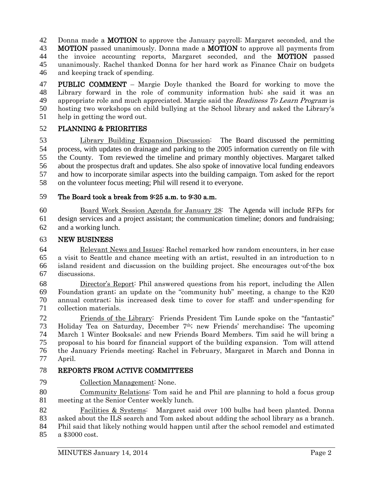42 Donna made a **MOTION** to approve the January payroll; Margaret seconded, and the 43 **MOTION** passed unanimously. Donna made a **MOTION** to approve all payments from **MOTION** passed unanimously. Donna made a **MOTION** to approve all payments from 44 the invoice accounting reports, Margaret seconded, and the **MOTION** passed unanimously. Rachel thanked Donna for her hard work as Finance Chair on budgets and keeping track of spending.

47 PUBLIC COMMENT – Margie Doyle thanked the Board for working to move the Library forward in the role of community information hub; she said it was an 49 appropriate role and much appreciated. Margie said the Readiness To Learn Program is hosting two workshops on child bullying at the School library and asked the Library's help in getting the word out.

## PLANNING & PRIORITIES

 Library Building Expansion Discussion: The Board discussed the permitting process, with updates on drainage and parking to the 2005 information currently on file with the County. Tom reviewed the timeline and primary monthly objectives. Margaret talked about the prospectus draft and updates. She also spoke of innovative local funding endeavors and how to incorporate similar aspects into the building campaign. Tom asked for the report on the volunteer focus meeting; Phil will resend it to everyone.

## The Board took a break from 9:25 a.m. to 9:30 a.m.

 Board Work Session Agenda for January 28: The Agenda will include RFPs for design services and a project assistant; the communication timeline; donors and fundraising; and a working lunch.

### NEW BUSINESS

 Relevant News and Issues: Rachel remarked how random encounters, in her case a visit to Seattle and chance meeting with an artist, resulted in an introduction to n island resident and discussion on the building project. She encourages out-of-the box discussions.

 Director's Report: Phil answered questions from his report, including the Allen Foundation grant; an update on the "community hub" meeting, a change to the K20 annual contract; his increased desk time to cover for staff; and under-spending for collection materials.

 Friends of the Library: Friends President Tim Lunde spoke on the "fantastic" 73 Holiday Tea on Saturday, December  $7<sup>th</sup>$ ; new Friends' merchandise; The upcoming March 1 Winter Booksale; and new Friends Board Members. Tim said he will bring a proposal to his board for financial support of the building expansion. Tom will attend the January Friends meeting; Rachel in February, Margaret in March and Donna in April.

## REPORTS FROM ACTIVE COMMITTEES

Collection Management: None.

 Community Relations: Tom said he and Phil are planning to hold a focus group meeting at the Senior Center weekly lunch.

 Facilities & Systems: Margaret said over 100 bulbs had been planted. Donna asked about the ILS search and Tom asked about adding the school library as a branch. Phil said that likely nothing would happen until after the school remodel and estimated

a \$3000 cost.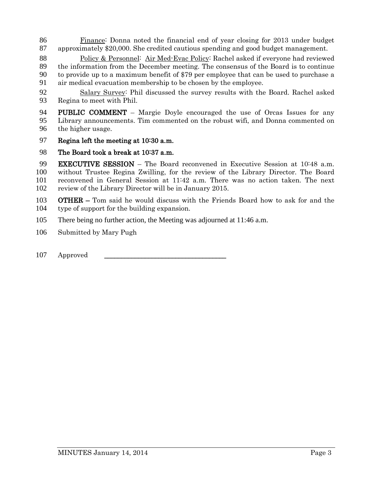- 86 Finance: Donna noted the financial end of year closing for 2013 under budget<br>87 approximately \$20,000. She credited cautious spending and good budget management. approximately \$20,000. She credited cautious spending and good budget management.
- 88 Policy & Personnel: Air Med-Evac Policy: Rachel asked if everyone had reviewed 89 the information from the December meeting. The consensus of the Board is to continue<br>90 to provide up to a maximum benefit of \$79 per employee that can be used to purchase a to provide up to a maximum benefit of \$79 per employee that can be used to purchase a 91 air medical evacuation membership to be chosen by the employee.
- 92 Salary Survey: Phil discussed the survey results with the Board. Rachel asked 93 Regina to meet with Phil.
- 94 PUBLIC COMMENT Margie Doyle encouraged the use of Orcas Issues for any 95 Library announcements. Tim commented on the robust wifi, and Donna commented on 96 the higher usage.
- 97 Regina left the meeting at 10:30 a.m.
- 98 The Board took a break at 10:37 a.m.

**EXECUTIVE SESSION** – The Board reconvened in Executive Session at 10:48 a.m.<br>100 without Trustee Regina Zwilling, for the review of the Library Director. The Board without Trustee Regina Zwilling, for the review of the Library Director. The Board reconvened in General Session at 11:42 a.m. There was no action taken. The next review of the Library Director will be in January 2015.

- 103 OTHER Tom said he would discuss with the Friends Board how to ask for and the 104 type of support for the building expansion.
- 105 There being no further action, the Meeting was adjourned at 11:46 a.m.
- 106 Submitted by Mary Pugh
- 107 Approved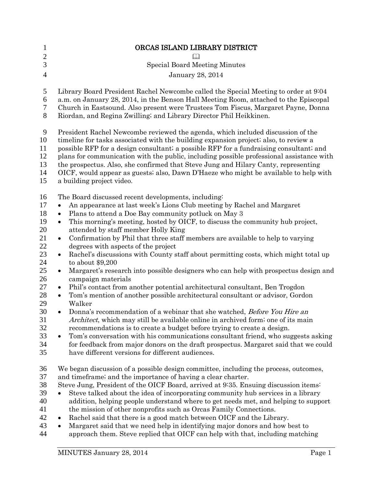| ORCAS ISLAND LIBRARY DISTRICT                                                                                                                                                                                                                                                                                                                                                                                                                                                                                                                                                                                                                                                                                                                                                                                                                                                                                                                                                                                                                                                                                                                                                                                                                                                                                                                                                                                                        |
|--------------------------------------------------------------------------------------------------------------------------------------------------------------------------------------------------------------------------------------------------------------------------------------------------------------------------------------------------------------------------------------------------------------------------------------------------------------------------------------------------------------------------------------------------------------------------------------------------------------------------------------------------------------------------------------------------------------------------------------------------------------------------------------------------------------------------------------------------------------------------------------------------------------------------------------------------------------------------------------------------------------------------------------------------------------------------------------------------------------------------------------------------------------------------------------------------------------------------------------------------------------------------------------------------------------------------------------------------------------------------------------------------------------------------------------|
| $\Box$                                                                                                                                                                                                                                                                                                                                                                                                                                                                                                                                                                                                                                                                                                                                                                                                                                                                                                                                                                                                                                                                                                                                                                                                                                                                                                                                                                                                                               |
| <b>Special Board Meeting Minutes</b>                                                                                                                                                                                                                                                                                                                                                                                                                                                                                                                                                                                                                                                                                                                                                                                                                                                                                                                                                                                                                                                                                                                                                                                                                                                                                                                                                                                                 |
| January 28, 2014                                                                                                                                                                                                                                                                                                                                                                                                                                                                                                                                                                                                                                                                                                                                                                                                                                                                                                                                                                                                                                                                                                                                                                                                                                                                                                                                                                                                                     |
| Library Board President Rachel Newcombe called the Special Meeting to order at 9:04<br>a.m. on January 28, 2014, in the Benson Hall Meeting Room, attached to the Episcopal<br>Church in Eastsound. Also present were Trustees Tom Fiscus, Margaret Payne, Donna<br>Riordan, and Regina Zwilling; and Library Director Phil Heikkinen.                                                                                                                                                                                                                                                                                                                                                                                                                                                                                                                                                                                                                                                                                                                                                                                                                                                                                                                                                                                                                                                                                               |
| President Rachel Newcombe reviewed the agenda, which included discussion of the<br>timeline for tasks associated with the building expansion project; also, to review a<br>possible RFP for a design consultant; a possible RFP for a fundraising consultant; and<br>plans for communication with the public, including possible professional assistance with<br>the prospectus. Also, she confirmed that Steve Jung and Hilary Canty, representing<br>OICF, would appear as guests; also, Dawn D'Haeze who might be available to help with<br>a building project video.                                                                                                                                                                                                                                                                                                                                                                                                                                                                                                                                                                                                                                                                                                                                                                                                                                                             |
| The Board discussed recent developments, including:<br>An appearance at last week's Lions Club meeting by Rachel and Margaret<br>Plans to attend a Doe Bay community potluck on May 3<br>This morning's meeting, hosted by OICF, to discuss the community hub project,<br>$\bullet$<br>attended by staff member Holly King<br>Confirmation by Phil that three staff members are available to help to varying<br>$\bullet$<br>degrees with aspects of the project<br>Rachel's discussions with County staff about permitting costs, which might total up<br>$\bullet$<br>to about $$9,200$<br>Margaret's research into possible designers who can help with prospectus design and<br>$\bullet$<br>campaign materials<br>Phil's contact from another potential architectural consultant, Ben Trogdon<br>$\bullet$<br>Tom's mention of another possible architectural consultant or advisor, Gordon<br>$\bullet$<br>Walker<br>Donna's recommendation of a webinar that she watched, Before You Hire an<br>$\bullet$<br><i>Architect</i> , which may still be available online in archived form; one of its main<br>recommendations is to create a budget before trying to create a design.<br>Tom's conversation with his communications consultant friend, who suggests asking<br>$\bullet$<br>for feedback from major donors on the draft prospectus. Margaret said that we could<br>have different versions for different audiences. |
| We began discussion of a possible design committee, including the process, outcomes,<br>and timeframe; and the importance of having a clear charter.<br>Steve Jung, President of the OICF Board, arrived at 9:35. Ensuing discussion items:<br>Steve talked about the idea of incorporating community hub services in a library<br>addition, helping people understand where to get needs met, and helping to support<br>the mission of other nonprofits such as Orcas Family Connections.<br>Rachel said that there is a good match between OICF and the Library.<br>٠<br>Margaret said that we need help in identifying major donors and how best to<br>$\bullet$<br>approach them. Steve replied that OICF can help with that, including matching                                                                                                                                                                                                                                                                                                                                                                                                                                                                                                                                                                                                                                                                                 |
| MINUTES January 28, 2014<br>Page 1                                                                                                                                                                                                                                                                                                                                                                                                                                                                                                                                                                                                                                                                                                                                                                                                                                                                                                                                                                                                                                                                                                                                                                                                                                                                                                                                                                                                   |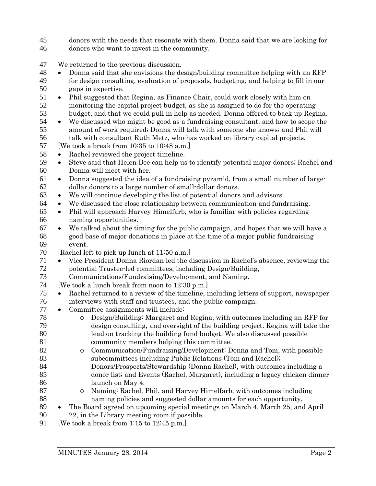- donors with the needs that resonate with them. Donna said that we are looking for
- donors who want to invest in the community.
- We returned to the previous discussion.
- Donna said that she envisions the design/building committee helping with an RFP for design consulting, evaluation of proposals, budgeting, and helping to fill in our gaps in expertise.
- 51 Phil suggested that Regina, as Finance Chair, could work closely with him on monitoring the capital project budget, as she is assigned to do for the operating monitoring the capital project budget, as she is assigned to do for the operating
- 53 budget, and that we could pull in help as needed. Donna offered to back up Regina.<br>54 We discussed who might be good as a fundraising consultant, and how to scope the • We discussed who might be good as a fundraising consultant, and how to scope the amount of work required; Donna will talk with someone she knows; and Phil will 56 talk with consultant Ruth Metz, who has worked on library capital projects.<br>57 [We took a break from 10:35 to 10:48 a.m.]
- We took a break from  $10:35$  to  $10:48$  a.m.
- Rachel reviewed the project timeline.
- Steve said that Helen Bee can help us to identify potential major donors; Rachel and Donna will meet with her.
- Donna suggested the idea of a fundraising pyramid, from a small number of large-dollar donors to a large number of small-dollar donors.
- We will continue developing the list of potential donors and advisors.
- We discussed the close relationship between communication and fundraising.
- Phil will approach Harvey Himelfarb, who is familiar with policies regarding naming opportunities.
- $67 \rightarrow$  We talked about the timing for the public campaign, and hopes that we will have a good base of major donations in place at the time of a major public fundraising event.
- [Rachel left to pick up lunch at 11:50 a.m.]
- T1 Vice President Donna Riordan led the discussion in Rachel's absence, reviewing the potential Trustee-led committees, including Design/Building. potential Trustee-led committees, including Design/Building,
- Communications/Fundraising/Development, and Naming.
- [We took a lunch break from noon to 12:30 p.m.]
- Rachel returned to a review of the timeline, including letters of support, newspaper interviews with staff and trustees, and the public campaign.
- Committee assignments will include:
- o Design/Building: Margaret and Regina, with outcomes including an RFP for design consulting, and oversight of the building project. Regina will take the lead on tracking the building fund budget. We also discussed possible community members helping this committee.
- 82 o Communication/Fundraising/Development: Donna and Tom, with possible subcommittees including Public Relations (Tom and Rachel); subcommittees including Public Relations (Tom and Rachel); Donors/Prospects/Stewardship (Donna Rachel), with outcomes including a
- donor list; and Events (Rachel, Margaret), including a legacy chicken dinner launch on May 4.
- 87 o Naming: Rachel, Phil, and Harvey Himelfarb, with outcomes including<br>88 naming policies and suggested dollar amounts for each opportunity. naming policies and suggested dollar amounts for each opportunity.
- The Board agreed on upcoming special meetings on March 4, March 25, and April 22, in the Library meeting room if possible.
- 91 [We took a break from 1:15 to 12:45 p.m.]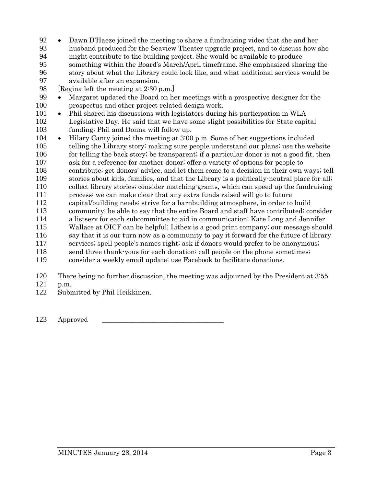- Dawn D'Haeze joined the meeting to share a fundraising video that she and her
- husband produced for the Seaview Theater upgrade project, and to discuss how she might contribute to the building project. She would be available to produce something within the Board's March/April timeframe. She emphasized sharing the story about what the Library could look like, and what additional services would be 97 available after an expansion.<br>98 [Regina left the meeting at  $2:30$  i
- 98 [Regina left the meeting at  $2:30$  p.m.]<br>99 Margaret undated the Board on he

Margaret updated the Board on her meetings with a prospective designer for the prospectus and other project-related design work.

 • Phil shared his discussions with legislators during his participation in WLA Legislative Day. He said that we have some slight possibilities for State capital funding; Phil and Donna will follow up.

- Hilary Canty joined the meeting at 3:00 p.m. Some of her suggestions included telling the Library story; making sure people understand our plans; use the website 106 for telling the back story; be transparent; if a particular donor is not a good fit, then
- ask for a reference for another donor; offer a variety of options for people to
- contribute; get donors' advice, and let them come to a decision in their own ways; tell
- stories about kids, families, and that the Library is a politically-neutral place for all; collect library stories; consider matching grants, which can speed up the fundraising
- process; we can make clear that any extra funds raised will go to future
- capital/building needs; strive for a barnbuilding atmosphere, in order to build
- community; be able to say that the entire Board and staff have contributed; consider
- a listserv for each subcommittee to aid in communication; Kate Long and Jennifer
- Wallace at OICF can be helpful; Lithex is a good print company; our message should
- say that it is our turn now as a community to pay it forward for the future of library
- services; spell people's names right; ask if donors would prefer to be anonymous; send three thank-yous for each donation; call people on the phone sometimes;
- consider a weekly email update; use Facebook to facilitate donations.
- There being no further discussion, the meeting was adjourned by the President at 3:55
- p.m.
- Submitted by Phil Heikkinen.

123 Approved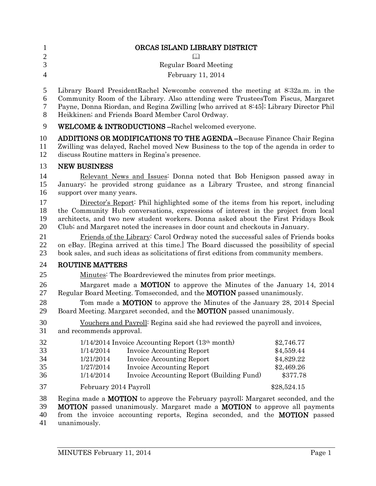| $\mathbf{1}$<br>$\overline{2}$<br>3<br>$\overline{4}$ | ORCAS ISLAND LIBRARY DISTRICT<br><b>Regular Board Meeting</b><br>February 11, 2014                                                                                                                                                                                                                                                                                                                                                                                                                                          |                                                                  |
|-------------------------------------------------------|-----------------------------------------------------------------------------------------------------------------------------------------------------------------------------------------------------------------------------------------------------------------------------------------------------------------------------------------------------------------------------------------------------------------------------------------------------------------------------------------------------------------------------|------------------------------------------------------------------|
| 5<br>6<br>7<br>8                                      | Library Board PresidentRachel Newcombe convened the meeting at 8:32a.m. in the<br>Community Room of the Library. Also attending were TrusteesTom Fiscus, Margaret<br>Payne, Donna Riordan, and Regina Zwilling [who arrived at 8:45]; Library Director Phil<br>Heikkinen; and Friends Board Member Carol Ordway.                                                                                                                                                                                                            |                                                                  |
| 9                                                     | WELCOME & INTRODUCTIONS-Rachel welcomed everyone.                                                                                                                                                                                                                                                                                                                                                                                                                                                                           |                                                                  |
| 10<br>11<br>12                                        | <b>ADDITIONS OR MODIFICATIONS TO THE AGENDA -Because Finance Chair Regina</b><br>Zwilling was delayed, Rachel moved New Business to the top of the agenda in order to<br>discuss Routine matters in Regina's presence.                                                                                                                                                                                                                                                                                                      |                                                                  |
| 13                                                    | <b>NEW BUSINESS</b>                                                                                                                                                                                                                                                                                                                                                                                                                                                                                                         |                                                                  |
| 14<br>15<br>16                                        | Relevant News and Issues: Donna noted that Bob Henigson passed away in<br>January; he provided strong guidance as a Library Trustee, and strong financial<br>support over many years.                                                                                                                                                                                                                                                                                                                                       |                                                                  |
| 17<br>18<br>19<br>20<br>21<br>22                      | Director's Report: Phil highlighted some of the items from his report, including<br>the Community Hub conversations, expressions of interest in the project from local<br>architects, and two new student workers. Donna asked about the First Fridays Book<br>Club; and Margaret noted the increases in door count and checkouts in January.<br>Friends of the Library: Carol Ordway noted the successful sales of Friends books<br>on eBay. [Regina arrived at this time.] The Board discussed the possibility of special |                                                                  |
| 23                                                    | book sales, and such ideas as solicitations of first editions from community members.                                                                                                                                                                                                                                                                                                                                                                                                                                       |                                                                  |
| 24                                                    | <b>ROUTINE MATTERS</b>                                                                                                                                                                                                                                                                                                                                                                                                                                                                                                      |                                                                  |
| 25                                                    | Minutes: The Boardreviewed the minutes from prior meetings.                                                                                                                                                                                                                                                                                                                                                                                                                                                                 |                                                                  |
| 26<br>27                                              | Margaret made a <b>MOTION</b> to approve the Minutes of the January 14, 2014<br>Regular Board Meeting. Tomseconded, and the <b>MOTION</b> passed unanimously.                                                                                                                                                                                                                                                                                                                                                               |                                                                  |
| 28<br>29                                              | Tom made a MOTION to approve the Minutes of the January 28, 2014 Special<br>Board Meeting. Margaret seconded, and the <b>MOTION</b> passed unanimously.                                                                                                                                                                                                                                                                                                                                                                     |                                                                  |
| 30<br>31                                              | Vouchers and Payroll: Regina said she had reviewed the payroll and invoices,<br>and recommends approval.                                                                                                                                                                                                                                                                                                                                                                                                                    |                                                                  |
| 32<br>33<br>34<br>35<br>36                            | $1/14/2014$ Invoice Accounting Report $(13th month)$<br><b>Invoice Accounting Report</b><br>1/14/2014<br>1/21/2014<br><b>Invoice Accounting Report</b><br>1/27/2014<br><b>Invoice Accounting Report</b><br>1/14/2014<br>Invoice Accounting Report (Building Fund)                                                                                                                                                                                                                                                           | \$2,746.77<br>\$4,559.44<br>\$4,829.22<br>\$2,469.26<br>\$377.78 |
| 37                                                    | February 2014 Payroll                                                                                                                                                                                                                                                                                                                                                                                                                                                                                                       | \$28,524.15                                                      |
| 38<br>39<br>40                                        | Regina made a <b>MOTION</b> to approve the February payroll; Margaret seconded, and the<br><b>MOTION</b> passed unanimously. Margaret made a <b>MOTION</b> to approve all payments<br>from the invoice accounting reports, Regina seconded, and the <b>MOTION</b> passed                                                                                                                                                                                                                                                    |                                                                  |

unanimously.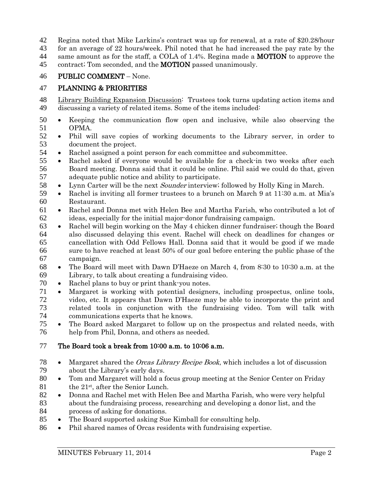Regina noted that Mike Larkins's contract was up for renewal, at a rate of \$20.28/hour

 for an average of 22 hours/week. Phil noted that he had increased the pay rate by the 44 same amount as for the staff, a COLA of 1.4%. Regina made a **MOTION** to approve the

45 contract; Tom seconded, and the **MOTION** passed unanimously.

## PUBLIC COMMENT – None.

## PLANNING & PRIORITIES

- Library Building Expansion Discussion: Trustees took turns updating action items and discussing a variety of related items. Some of the items included:
- Keeping the communication flow open and inclusive, while also observing the 51 OPMA.<br>52 • Phil wi
- Phil will save copies of working documents to the Library server, in order to document the project.
- Rachel assigned a point person for each committee and subcommittee.
- Rachel asked if everyone would be available for a check-in two weeks after each Board meeting. Donna said that it could be online. Phil said we could do that, given adequate public notice and ability to participate.
- 58 Lynn Carter will be the next *Sounder* interview; followed by Holly King in March.
- Rachel is inviting all former trustees to a brunch on March 9 at 11:30 a.m. at Mia's Restaurant.
- Rachel and Donna met with Helen Bee and Martha Farish, who contributed a lot of ideas, especially for the initial major-donor fundraising campaign.
- Rachel will begin working on the May 4 chicken dinner fundraiser; though the Board also discussed delaying this event. Rachel will check on deadlines for changes or cancellation with Odd Fellows Hall. Donna said that it would be good if we made sure to have reached at least 50% of our goal before entering the public phase of the campaign.
- The Board will meet with Dawn D'Haeze on March 4, from 8:30 to 10:30 a.m. at the Library, to talk about creating a fundraising video.
- Rachel plans to buy or print thank-you notes.
- Margaret is working with potential designers, including prospectus, online tools, video, etc. It appears that Dawn D'Haeze may be able to incorporate the print and related tools in conjunction with the fundraising video. Tom will talk with
- 74 communications experts that he knows.<br>75 The Board asked Margaret to follow up • The Board asked Margaret to follow up on the prospectus and related needs, with help from Phil, Donna, and others as needed.

## The Board took a break from 10:00 a.m. to 10:06 a.m.

- 78 Margaret shared the *Orcas Library Recipe Book*, which includes a lot of discussion about the Library's early days.
- Tom and Margaret will hold a focus group meeting at the Senior Center on Friday 81 the  $21^{st}$ , after the Senior Lunch.<br>82 • Donna and Rachel met with Hel
- Donna and Rachel met with Helen Bee and Martha Farish, who were very helpful about the fundraising process, researching and developing a donor list, and the process of asking for donations.
- The Board supported asking Sue Kimball for consulting help.
- Phil shared names of Orcas residents with fundraising expertise.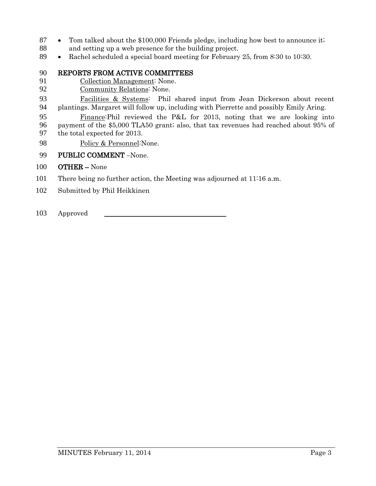- 87 Tom talked about the \$100,000 Friends pledge, including how best to announce it;
- and setting up a web presence for the building project.
- 89 Rachel scheduled a special board meeting for February 25, from 8:30 to 10:30.
- 90 REPORTS FROM ACTIVE COMMITTEES<br>91 Collection Management: None.
- Collection Management: None.
- Community Relations: None.
- Facilities & Systems: Phil shared input from Jean Dickerson about recent plantings. Margaret will follow up, including with Pierrette and possibly Emily Aring.
- Finance:Phil reviewed the P&L for 2013, noting that we are looking into payment of the \$5,000 TLA50 grant; also, that tax revenues had reached about 95% of the total expected for 2013.
- Policy & Personnel:None.
- PUBLIC COMMENT –None.
- OTHER None
- There being no further action, the Meeting was adjourned at 11:16 a.m.
- Submitted by Phil Heikkinen

103 Approved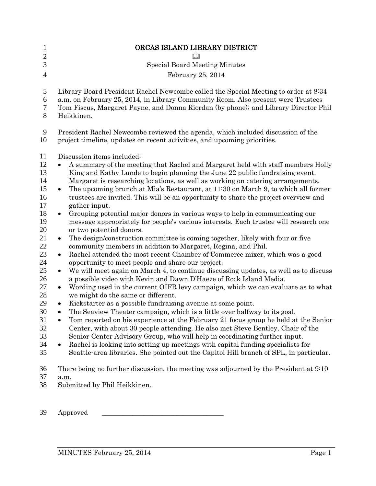| 1<br>$\mathbf{2}$<br>3<br>$\overline{4}$                                                                                                                             | ORCAS ISLAND LIBRARY DISTRICT<br><b>Special Board Meeting Minutes</b><br>February 25, 2014                                                                                                                                                                                                                                                                                                                                                                                                                                                                                                                                                                                                                                                                                                                                                                                                                                                                                                                                                                                                                                                                                                                                                                                                                                                                                                                                                                                                                                                                                                                                                                                                                                                                                                                                                                                                                                                                                                                                                                                   |
|----------------------------------------------------------------------------------------------------------------------------------------------------------------------|------------------------------------------------------------------------------------------------------------------------------------------------------------------------------------------------------------------------------------------------------------------------------------------------------------------------------------------------------------------------------------------------------------------------------------------------------------------------------------------------------------------------------------------------------------------------------------------------------------------------------------------------------------------------------------------------------------------------------------------------------------------------------------------------------------------------------------------------------------------------------------------------------------------------------------------------------------------------------------------------------------------------------------------------------------------------------------------------------------------------------------------------------------------------------------------------------------------------------------------------------------------------------------------------------------------------------------------------------------------------------------------------------------------------------------------------------------------------------------------------------------------------------------------------------------------------------------------------------------------------------------------------------------------------------------------------------------------------------------------------------------------------------------------------------------------------------------------------------------------------------------------------------------------------------------------------------------------------------------------------------------------------------------------------------------------------------|
| 5<br>6<br>7<br>8                                                                                                                                                     | Library Board President Rachel Newcombe called the Special Meeting to order at 8:34<br>a.m. on February 25, 2014, in Library Community Room. Also present were Trustees<br>Tom Fiscus, Margaret Payne, and Donna Riordan (by phone); and Library Director Phil<br>Heikkinen.                                                                                                                                                                                                                                                                                                                                                                                                                                                                                                                                                                                                                                                                                                                                                                                                                                                                                                                                                                                                                                                                                                                                                                                                                                                                                                                                                                                                                                                                                                                                                                                                                                                                                                                                                                                                 |
| 9<br>10                                                                                                                                                              | President Rachel Newcombe reviewed the agenda, which included discussion of the<br>project timeline, updates on recent activities, and upcoming priorities.                                                                                                                                                                                                                                                                                                                                                                                                                                                                                                                                                                                                                                                                                                                                                                                                                                                                                                                                                                                                                                                                                                                                                                                                                                                                                                                                                                                                                                                                                                                                                                                                                                                                                                                                                                                                                                                                                                                  |
| 11<br>12<br>13<br>14<br>15<br>16<br>17<br>18<br>19<br>20<br>21<br>22<br>23<br>24<br>25<br>26<br>27<br>28<br>29<br>30<br>31<br>32<br>33<br>34<br>35<br>36<br>37<br>38 | Discussion items included:<br>A summary of the meeting that Rachel and Margaret held with staff members Holly<br>King and Kathy Lunde to begin planning the June 22 public fundraising event.<br>Margaret is researching locations, as well as working on catering arrangements.<br>The upcoming brunch at Mia's Restaurant, at 11:30 on March 9, to which all former<br>$\bullet$<br>trustees are invited. This will be an opportunity to share the project overview and<br>gather input.<br>Grouping potential major donors in various ways to help in communicating our<br>$\bullet$<br>message appropriately for people's various interests. Each trustee will research one<br>or two potential donors.<br>The design/construction committee is coming together, likely with four or five<br>$\bullet$<br>community members in addition to Margaret, Regina, and Phil.<br>Rachel attended the most recent Chamber of Commerce mixer, which was a good<br>$\bullet$<br>opportunity to meet people and share our project.<br>We will meet again on March 4, to continue discussing updates, as well as to discuss<br>$\bullet$<br>a possible video with Kevin and Dawn D'Haeze of Rock Island Media.<br>Wording used in the current OIFR levy campaign, which we can evaluate as to what<br>$\bullet$<br>we might do the same or different.<br>Kickstarter as a possible fundraising avenue at some point.<br>The Seaview Theater campaign, which is a little over halfway to its goal.<br>Tom reported on his experience at the February 21 focus group he held at the Senior<br>Center, with about 30 people attending. He also met Steve Bentley, Chair of the<br>Senior Center Advisory Group, who will help in coordinating further input.<br>Rachel is looking into setting up meetings with capital funding specialists for<br>$\bullet$<br>Seattle-area libraries. She pointed out the Capitol Hill branch of SPL, in particular.<br>There being no further discussion, the meeting was adjourned by the President at 9:10<br>a.m.<br>Submitted by Phil Heikkinen. |
| 39                                                                                                                                                                   | Approved                                                                                                                                                                                                                                                                                                                                                                                                                                                                                                                                                                                                                                                                                                                                                                                                                                                                                                                                                                                                                                                                                                                                                                                                                                                                                                                                                                                                                                                                                                                                                                                                                                                                                                                                                                                                                                                                                                                                                                                                                                                                     |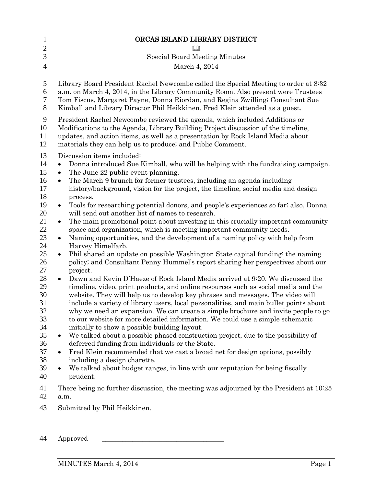| $\mathbf{1}$                                                                                                                     | ORCAS ISLAND LIBRARY DISTRICT                                                                                                                                                                                                                                                                                                                                                                                                                                                                                                                                                                                                                                                                                                                                                                                                                                                                                                                                                                                                                                                                                                                                                                                                                                                                                                                                                                                                                                                                                                                                             |
|----------------------------------------------------------------------------------------------------------------------------------|---------------------------------------------------------------------------------------------------------------------------------------------------------------------------------------------------------------------------------------------------------------------------------------------------------------------------------------------------------------------------------------------------------------------------------------------------------------------------------------------------------------------------------------------------------------------------------------------------------------------------------------------------------------------------------------------------------------------------------------------------------------------------------------------------------------------------------------------------------------------------------------------------------------------------------------------------------------------------------------------------------------------------------------------------------------------------------------------------------------------------------------------------------------------------------------------------------------------------------------------------------------------------------------------------------------------------------------------------------------------------------------------------------------------------------------------------------------------------------------------------------------------------------------------------------------------------|
| $\overline{2}$<br>3                                                                                                              | <b>Special Board Meeting Minutes</b>                                                                                                                                                                                                                                                                                                                                                                                                                                                                                                                                                                                                                                                                                                                                                                                                                                                                                                                                                                                                                                                                                                                                                                                                                                                                                                                                                                                                                                                                                                                                      |
| $\overline{4}$                                                                                                                   | March 4, 2014                                                                                                                                                                                                                                                                                                                                                                                                                                                                                                                                                                                                                                                                                                                                                                                                                                                                                                                                                                                                                                                                                                                                                                                                                                                                                                                                                                                                                                                                                                                                                             |
| 5<br>6<br>7<br>8<br>9                                                                                                            | Library Board President Rachel Newcombe called the Special Meeting to order at 8:32<br>a.m. on March 4, 2014, in the Library Community Room. Also present were Trustees<br>Tom Fiscus, Margaret Payne, Donna Riordan, and Regina Zwilling; Consultant Sue<br>Kimball and Library Director Phil Heikkinen. Fred Klein attended as a guest.<br>President Rachel Newcombe reviewed the agenda, which included Additions or                                                                                                                                                                                                                                                                                                                                                                                                                                                                                                                                                                                                                                                                                                                                                                                                                                                                                                                                                                                                                                                                                                                                                   |
| 10<br>11<br>12                                                                                                                   | Modifications to the Agenda, Library Building Project discussion of the timeline,<br>updates, and action items, as well as a presentation by Rock Island Media about<br>materials they can help us to produce; and Public Comment.                                                                                                                                                                                                                                                                                                                                                                                                                                                                                                                                                                                                                                                                                                                                                                                                                                                                                                                                                                                                                                                                                                                                                                                                                                                                                                                                        |
| 13<br>14<br>15<br>16<br>17<br>18<br>19<br>20<br>21<br>22<br>23<br>24<br>25<br>26<br>27<br>28<br>29<br>30<br>31<br>32<br>33<br>34 | Discussion items included:<br>Donna introduced Sue Kimball, who will be helping with the fundraising campaign.<br>The June 22 public event planning.<br>The March 9 brunch for former trustees, including an agenda including<br>$\bullet$<br>history/background, vision for the project, the timeline, social media and design<br>process.<br>Tools for researching potential donors, and people's experiences so far; also, Donna<br>$\bullet$<br>will send out another list of names to research.<br>The main promotional point about investing in this crucially important community<br>٠<br>space and organization, which is meeting important community needs.<br>Naming opportunities, and the development of a naming policy with help from<br>$\bullet$<br>Harvey Himelfarb.<br>Phil shared an update on possible Washington State capital funding; the naming<br>$\bullet$<br>policy; and Consultant Penny Hummel's report sharing her perspectives about our<br>project.<br>Dawn and Kevin D'Haeze of Rock Island Media arrived at 9:20. We discussed the<br>$\bullet$<br>timeline, video, print products, and online resources such as social media and the<br>website. They will help us to develop key phrases and messages. The video will<br>include a variety of library users, local personalities, and main bullet points about<br>why we need an expansion. We can create a simple brochure and invite people to go<br>to our website for more detailed information. We could use a simple schematic<br>initially to show a possible building layout. |
| 35<br>36<br>37                                                                                                                   | We talked about a possible phased construction project, due to the possibility of<br>$\bullet$<br>deferred funding from individuals or the State.<br>Fred Klein recommended that we cast a broad net for design options, possibly<br>$\bullet$                                                                                                                                                                                                                                                                                                                                                                                                                                                                                                                                                                                                                                                                                                                                                                                                                                                                                                                                                                                                                                                                                                                                                                                                                                                                                                                            |
| 38<br>39<br>40                                                                                                                   | including a design charette.<br>We talked about budget ranges, in line with our reputation for being fiscally<br>$\bullet$<br>prudent.                                                                                                                                                                                                                                                                                                                                                                                                                                                                                                                                                                                                                                                                                                                                                                                                                                                                                                                                                                                                                                                                                                                                                                                                                                                                                                                                                                                                                                    |
| 41<br>42                                                                                                                         | There being no further discussion, the meeting was adjourned by the President at 10:25<br>a.m.                                                                                                                                                                                                                                                                                                                                                                                                                                                                                                                                                                                                                                                                                                                                                                                                                                                                                                                                                                                                                                                                                                                                                                                                                                                                                                                                                                                                                                                                            |
| 43                                                                                                                               | Submitted by Phil Heikkinen.                                                                                                                                                                                                                                                                                                                                                                                                                                                                                                                                                                                                                                                                                                                                                                                                                                                                                                                                                                                                                                                                                                                                                                                                                                                                                                                                                                                                                                                                                                                                              |

Approved \_\_\_\_\_\_\_\_\_\_\_\_\_\_\_\_\_\_\_\_\_\_\_\_\_\_\_\_\_\_\_\_\_\_\_\_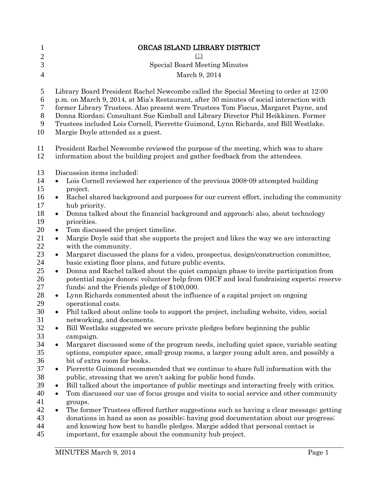| 1              | ORCAS ISLAND LIBRARY DISTRICT                                                                                                                                       |
|----------------|---------------------------------------------------------------------------------------------------------------------------------------------------------------------|
| $\mathbf{2}$   | $\Box$                                                                                                                                                              |
| 3              | <b>Special Board Meeting Minutes</b>                                                                                                                                |
| $\overline{4}$ | March 9, 2014                                                                                                                                                       |
| 5              | Library Board President Rachel Newcombe called the Special Meeting to order at 12:00                                                                                |
| 6              | p.m. on March 9, 2014, at Mia's Restaurant, after 30 minutes of social interaction with                                                                             |
| 7              | former Library Trustees. Also present were Trustees Tom Fiscus, Margaret Payne, and                                                                                 |
| $8\,$          | Donna Riordan; Consultant Sue Kimball and Library Director Phil Heikkinen. Former                                                                                   |
| 9              | Trustees included Lois Cornell, Pierrette Guimond, Lynn Richards, and Bill Westlake.                                                                                |
| 10             | Margie Doyle attended as a guest.                                                                                                                                   |
| 11<br>12       | President Rachel Newcombe reviewed the purpose of the meeting, which was to share<br>information about the building project and gather feedback from the attendees. |
| 13             | Discussion items included:                                                                                                                                          |
| 14             | Lois Cornell reviewed her experience of the previous 2008-09 attempted building<br>$\bullet$                                                                        |
| 15             | project.                                                                                                                                                            |
| 16             | Rachel shared background and purposes for our current effort, including the community<br>$\bullet$                                                                  |
| 17             | hub priority.                                                                                                                                                       |
| 18<br>19       | Donna talked about the financial background and approach; also, about technology<br>$\bullet$<br>priorities.                                                        |
| 20             | Tom discussed the project timeline.<br>$\bullet$                                                                                                                    |
| 21             | Margie Doyle said that she supports the project and likes the way we are interacting<br>$\bullet$                                                                   |
| 22             | with the community.                                                                                                                                                 |
| 23             | Margaret discussed the plans for a video, prospectus, design/construction committee,<br>$\bullet$                                                                   |
| 24             | basic existing floor plans, and future public events.                                                                                                               |
| 25             | Donna and Rachel talked about the quiet campaign phase to invite participation from<br>$\bullet$                                                                    |
| 26             | potential major donors; volunteer help from OICF and local fundraising experts; reserve                                                                             |
| 27             | funds; and the Friends pledge of \$100,000.                                                                                                                         |
| 28<br>29       | Lynn Richards commented about the influence of a capital project on ongoing<br>$\bullet$<br>operational costs.                                                      |
| 30             | Phil talked about online tools to support the project, including website, video, social<br>$\bullet$                                                                |
| 31             | networking, and documents.                                                                                                                                          |
| 32             | Bill Westlake suggested we secure private pledges before beginning the public<br>$\bullet$                                                                          |
| 33             | campaign.                                                                                                                                                           |
| 34             | Margaret discussed some of the program needs, including quiet space, variable seating<br>$\bullet$                                                                  |
| 35             | options, computer space, small-group rooms, a larger young adult area, and possibly a                                                                               |
| 36             | bit of extra room for books.                                                                                                                                        |
| 37<br>38       | Pierrette Guimond recommended that we continue to share full information with the<br>$\bullet$<br>public, stressing that we aren't asking for public bond funds.    |
| 39             | Bill talked about the importance of public meetings and interacting freely with critics.<br>٠                                                                       |
| 40             | Tom discussed our use of focus groups and visits to social service and other community<br>$\bullet$                                                                 |
| 41             | groups.                                                                                                                                                             |
| 42             | The former Trustees offered further suggestions such as having a clear message; getting<br>$\bullet$                                                                |
| 43             | donations in hand as soon as possible; having good documentation about our progress;                                                                                |
| 44             | and knowing how best to handle pledges. Margie added that personal contact is                                                                                       |
| 45             | important, for example about the community hub project.                                                                                                             |
|                |                                                                                                                                                                     |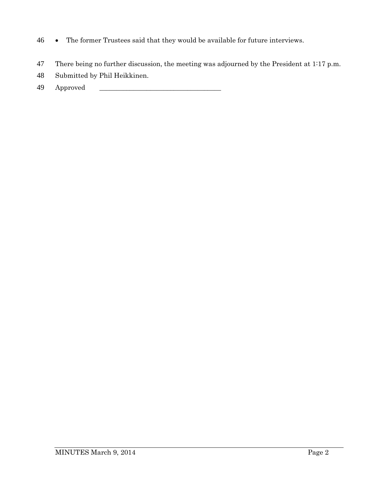- 46 The former Trustees said that they would be available for future interviews.
- 47 There being no further discussion, the meeting was adjourned by the President at 1:17 p.m.
- 48 Submitted by Phil Heikkinen.
- 49 Approved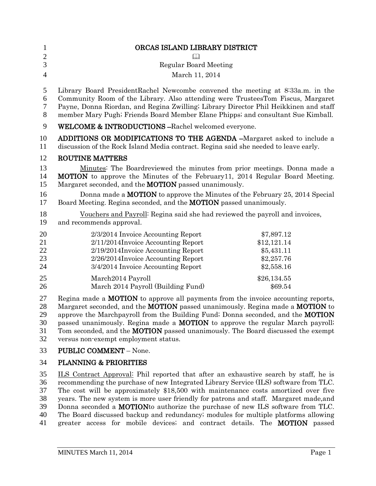| $\mathbf{1}$<br>$\mathbf{2}$<br>3<br>$\overline{4}$ | ORCAS ISLAND LIBRARY DISTRICT<br>M<br><b>Regular Board Meeting</b><br>March 11, 2014                                                                                                                                                                                                                                                                                                                                                                                                                  |                                                                     |
|-----------------------------------------------------|-------------------------------------------------------------------------------------------------------------------------------------------------------------------------------------------------------------------------------------------------------------------------------------------------------------------------------------------------------------------------------------------------------------------------------------------------------------------------------------------------------|---------------------------------------------------------------------|
| 5<br>6<br>$\tau$<br>8                               | Library Board PresidentRachel Newcombe convened the meeting at 8:33a.m. in the<br>Community Room of the Library. Also attending were TrusteesTom Fiscus, Margaret<br>Payne, Donna Riordan, and Regina Zwilling; Library Director Phil Heikkinen and staff<br>member Mary Pugh; Friends Board Member Elane Phipps; and consultant Sue Kimball.                                                                                                                                                         |                                                                     |
| $\mathbf{9}$                                        | WELCOME & INTRODUCTIONS-Rachel welcomed everyone.                                                                                                                                                                                                                                                                                                                                                                                                                                                     |                                                                     |
| 10<br>11                                            | ADDITIONS OR MODIFICATIONS TO THE AGENDA -Margaret asked to include a<br>discussion of the Rock Island Media contract. Regina said she needed to leave early.                                                                                                                                                                                                                                                                                                                                         |                                                                     |
| 12<br>13<br>14<br>15<br>16                          | <b>ROUTINE MATTERS</b><br>Minutes: The Boardreviewed the minutes from prior meetings. Donna made a<br><b>MOTION</b> to approve the Minutes of the February11, 2014 Regular Board Meeting.<br>Margaret seconded, and the <b>MOTION</b> passed unanimously.<br>Donna made a <b>MOTION</b> to approve the Minutes of the February 25, 2014 Special                                                                                                                                                       |                                                                     |
| 17                                                  | Board Meeting. Regina seconded, and the <b>MOTION</b> passed unanimously.                                                                                                                                                                                                                                                                                                                                                                                                                             |                                                                     |
| 18<br>19                                            | Vouchers and Payroll: Regina said she had reviewed the payroll and invoices,<br>and recommends approval.                                                                                                                                                                                                                                                                                                                                                                                              |                                                                     |
| 20<br>21<br>22<br>23<br>24                          | 2/3/2014 Invoice Accounting Report<br>2/11/2014Invoice Accounting Report<br>2/19/2014Invoice Accounting Report<br>2/26/2014Invoice Accounting Report<br>3/4/2014 Invoice Accounting Report                                                                                                                                                                                                                                                                                                            | \$7,897.12<br>\$12,121.14<br>\$5,431.11<br>\$2,257.76<br>\$2,558.16 |
| 25<br>26                                            | March2014 Payroll<br>March 2014 Payroll (Building Fund)                                                                                                                                                                                                                                                                                                                                                                                                                                               | \$26,134.55<br>\$69.54                                              |
| 27<br>28<br>29<br>30<br>31<br>32                    | Regina made a <b>MOTION</b> to approve all payments from the invoice accounting reports,<br>Margaret seconded, and the <b>MOTION</b> passed unanimously. Regina made a <b>MOTION</b> to<br>approve the Marchpayroll from the Building Fund; Donna seconded, and the MOTION<br>passed unanimously. Regina made a <b>MOTION</b> to approve the regular March payroll;<br>Tom seconded, and the <b>MOTION</b> passed unanimously. The Board discussed the exempt<br>versus non-exempt employment status. |                                                                     |
| 33                                                  | <b>PUBLIC COMMENT - None.</b>                                                                                                                                                                                                                                                                                                                                                                                                                                                                         |                                                                     |

## 34 PLANNING & PRIORITIES

35 ILS Contract Approval: Phil reported that after an exhaustive search by staff, he is 36 recommending the purchase of new Integrated Library Service (ILS) software from TLC. 37 The cost will be approximately \$18,500 with maintenance costs amortized over five<br>38 vears. The new system is more user friendly for patrons and staff. Margaret made, and 38 years. The new system is more user friendly for patrons and staff. Margaret made, and<br>39 Donna seconded a **MOTION** to authorize the purchase of new ILS software from TLC. Donna seconded a MOTIONto authorize the purchase of new ILS software from TLC. 40 The Board discussed backup and redundancy; modules for multiple platforms allowing 41 greater access for mobile devices; and contract details. The MOTION passed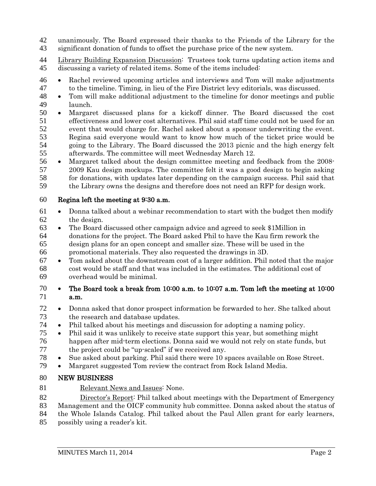unanimously. The Board expressed their thanks to the Friends of the Library for the

significant donation of funds to offset the purchase price of the new system.

44 Library Building Expansion Discussion: Trustees took turns updating action items and discussing a variety of related items. Some of the items included:

- Rachel reviewed upcoming articles and interviews and Tom will make adjustments to the timeline. Timing, in lieu of the Fire District levy editorials, was discussed.
- Tom will make additional adjustment to the timeline for donor meetings and public launch.
- Margaret discussed plans for a kickoff dinner. The Board discussed the cost effectiveness and lower cost alternatives. Phil said staff time could not be used for an event that would charge for. Rachel asked about a sponsor underwriting the event. Regina said everyone would want to know how much of the ticket price would be going to the Library. The Board discussed the 2013 picnic and the high energy felt afterwards. The committee will meet Wednesday March 12.
- Margaret talked about the design committee meeting and feedback from the 2008- 2009 Kau design mockups. The committee felt it was a good design to begin asking 58 for donations, with updates later depending on the campaign success. Phil said that<br>59 the Library owns the designs and therefore does not need an RFP for design work. the Library owns the designs and therefore does not need an RFP for design work.

## Regina left the meeting at 9:30 a.m.

- Donna talked about a webinar recommendation to start with the budget then modify the design.
- The Board discussed other campaign advice and agreed to seek \$1Million in donations for the project. The Board asked Phil to have the Kau firm rework the design plans for an open concept and smaller size. These will be used in the promotional materials. They also requested the drawings in 3D.
- Tom asked about the downstream cost of a larger addition. Phil noted that the major cost would be staff and that was included in the estimates. The additional cost of overhead would be minimal.
- The Board took a break from 10:00 a.m. to 10:07 a.m. Tom left the meeting at 10:00 a.m.
- Donna asked that donor prospect information be forwarded to her. She talked about the research and database updates.
- Phil talked about his meetings and discussion for adopting a naming policy.
- Phil said it was unlikely to receive state support this year, but something might happen after mid-term elections. Donna said we would not rely on state funds, but the project could be "up-scaled" if we received any.
- <sup>78</sup> Sue asked about parking. Phil said there were 10 spaces available on Rose Street.<br><sup>79</sup> Margaret suggested Tom review the contract from Rock Island Media
- Margaret suggested Tom review the contract from Rock Island Media.

## NEW BUSINESS

81 Relevant News and Issues: None.

 Director's Report: Phil talked about meetings with the Department of Emergency Management and the OICF community hub committee. Donna asked about the status of

the Whole Islands Catalog. Phil talked about the Paul Allen grant for early learners,

possibly using a reader's kit.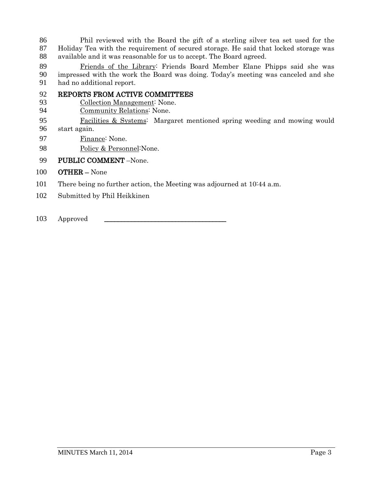86 Phil reviewed with the Board the gift of a sterling silver tea set used for the 87 Holiday Tea with the requirement of secured storage. He said that locked storage was Holiday Tea with the requirement of secured storage. He said that locked storage was available and it was reasonable for us to accept. The Board agreed.

89 Friends of the Library: Friends Board Member Elane Phipps said she was<br>90 impressed with the work the Board was doing. Today's meeting was canceled and she impressed with the work the Board was doing. Today's meeting was canceled and she had no additional report.

- REPORTS FROM ACTIVE COMMITTEES
- Collection Management: None.
- Community Relations: None.
- Facilities & Systems: Margaret mentioned spring weeding and mowing would start again.
- 97 Finance: None.
- 98 Policy & Personnel: None.
- PUBLIC COMMENT –None.
- OTHER None
- There being no further action, the Meeting was adjourned at 10:44 a.m.
- Submitted by Phil Heikkinen

103 Approved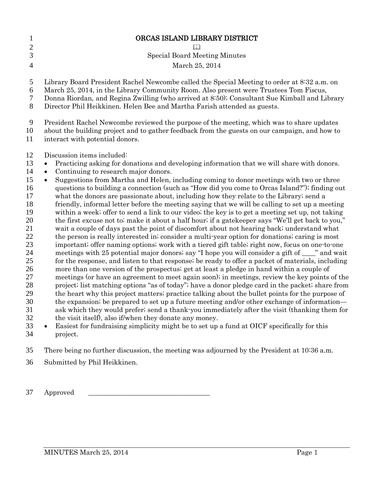| $\mathbf{1}$<br>$\overline{2}$<br>3<br>$\overline{4}$                      | ORCAS ISLAND LIBRARY DISTRICT<br><b>Special Board Meeting Minutes</b><br>March 25, 2014                                                                                                                                                                                                                                                                                                                                                                                                                                                                                                                                                                                                                                                                                                                                                                                                                                                                                                                                                                                                                                                                                                                        |
|----------------------------------------------------------------------------|----------------------------------------------------------------------------------------------------------------------------------------------------------------------------------------------------------------------------------------------------------------------------------------------------------------------------------------------------------------------------------------------------------------------------------------------------------------------------------------------------------------------------------------------------------------------------------------------------------------------------------------------------------------------------------------------------------------------------------------------------------------------------------------------------------------------------------------------------------------------------------------------------------------------------------------------------------------------------------------------------------------------------------------------------------------------------------------------------------------------------------------------------------------------------------------------------------------|
| 5<br>6<br>7<br>8                                                           | Library Board President Rachel Newcombe called the Special Meeting to order at 8:32 a.m. on<br>March 25, 2014, in the Library Community Room. Also present were Trustees Tom Fiscus,<br>Donna Riordan, and Regina Zwilling (who arrived at 8:50); Consultant Sue Kimball and Library<br>Director Phil Heikkinen. Helen Bee and Martha Farish attended as guests.                                                                                                                                                                                                                                                                                                                                                                                                                                                                                                                                                                                                                                                                                                                                                                                                                                               |
| 9<br>10<br>11                                                              | President Rachel Newcombe reviewed the purpose of the meeting, which was to share updates<br>about the building project and to gather feedback from the guests on our campaign, and how to<br>interact with potential donors.                                                                                                                                                                                                                                                                                                                                                                                                                                                                                                                                                                                                                                                                                                                                                                                                                                                                                                                                                                                  |
| 12<br>13<br>14<br>15<br>16<br>17<br>18<br>19<br>20<br>21<br>22<br>23<br>24 | Discussion items included:<br>Practicing asking for donations and developing information that we will share with donors.<br>$\bullet$<br>Continuing to research major donors.<br>$\bullet$<br>Suggestions from Martha and Helen, including coming to donor meetings with two or three<br>$\bullet$<br>questions to building a connection (such as "How did you come to Orcas Island?"); finding out<br>what the donors are passionate about, including how they relate to the Library; send a<br>friendly, informal letter before the meeting saying that we will be calling to set up a meeting<br>within a week; offer to send a link to our video; the key is to get a meeting set up, not taking<br>the first excuse not to; make it about a half hour; if a gate keeper says "We'll get back to you,"<br>wait a couple of days past the point of discomfort about not hearing back; understand what<br>the person is really interested in consider a multi-year option for donations, caring is most<br>important; offer naming options; work with a tiered gift table; right now, focus on one-to-one<br>meetings with 25 potential major donors; say "I hope you will consider a gift of ____" and wait |
| 25                                                                         | for the response, and listen to that response; be ready to offer a packet of materials, including                                                                                                                                                                                                                                                                                                                                                                                                                                                                                                                                                                                                                                                                                                                                                                                                                                                                                                                                                                                                                                                                                                              |

- more than one version of the prospectus; get at least a pledge in hand within a couple of meetings (or have an agreement to meet again soon); in meetings, review the key points of the project; list matching options "as of today"; have a donor pledge card in the packet; share from 29 the heart why this project matters; practice talking about the bullet points for the purpose of<br>30 the expansion; be prepared to set up a future meeting and/or other exchange of information the expansion; be prepared to set up a future meeting and/or other exchange of information— ask which they would prefer; send a thank-you immediately after the visit (thanking them for
- the visit itself), also if/when they donate any money.
- Easiest for fundraising simplicity might be to set up a fund at OICF specifically for this project.
- There being no further discussion, the meeting was adjourned by the President at 10:36 a.m.
- Submitted by Phil Heikkinen.

37 Approved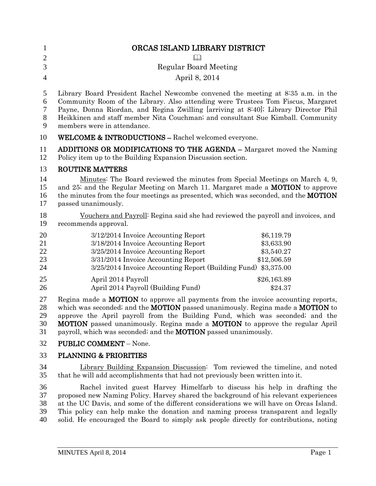| $\mathbf{1}$               | ORCAS ISLAND LIBRARY DISTRICT                                                                                                                                                                                                                                                                                                                                                                                                       |
|----------------------------|-------------------------------------------------------------------------------------------------------------------------------------------------------------------------------------------------------------------------------------------------------------------------------------------------------------------------------------------------------------------------------------------------------------------------------------|
| $\mathbf{2}$               |                                                                                                                                                                                                                                                                                                                                                                                                                                     |
| 3                          | <b>Regular Board Meeting</b>                                                                                                                                                                                                                                                                                                                                                                                                        |
| $\overline{4}$             | April 8, 2014                                                                                                                                                                                                                                                                                                                                                                                                                       |
| 5<br>6<br>7<br>8<br>9      | Library Board President Rachel Newcombe convened the meeting at 8:35 a.m. in the<br>Community Room of the Library. Also attending were Trustees Tom Fiscus, Margaret<br>Payne, Donna Riordan, and Regina Zwilling [arriving at 8.40]; Library Director Phil<br>Heikkinen and staff member Nita Couchman; and consultant Sue Kimball. Community<br>members were in attendance.                                                       |
| 10                         | <b>WELCOME &amp; INTRODUCTIONS - Rachel welcomed everyone.</b>                                                                                                                                                                                                                                                                                                                                                                      |
| 11<br>12                   | ADDITIONS OR MODIFICATIONS TO THE AGENDA - Margaret moved the Naming<br>Policy item up to the Building Expansion Discussion section.                                                                                                                                                                                                                                                                                                |
| 13                         | <b>ROUTINE MATTERS</b>                                                                                                                                                                                                                                                                                                                                                                                                              |
| 14<br>15<br>16<br>17       | Minutes: The Board reviewed the minutes from Special Meetings on March 4, 9,<br>and 25; and the Regular Meeting on March 11. Margaret made a <b>MOTION</b> to approve<br>the minutes from the four meetings as presented, which was seconded, and the <b>MOTION</b><br>passed unanimously.                                                                                                                                          |
| 18<br>19                   | Vouchers and Payroll <sup>:</sup> Regina said she had reviewed the payroll and invoices, and<br>recommends approval.                                                                                                                                                                                                                                                                                                                |
| 20                         | \$6,119.79<br>3/12/2014 Invoice Accounting Report                                                                                                                                                                                                                                                                                                                                                                                   |
| 21                         | 3/18/2014 Invoice Accounting Report<br>\$3,633.90                                                                                                                                                                                                                                                                                                                                                                                   |
| 22                         | 3/25/2014 Invoice Accounting Report<br>\$3,540.27                                                                                                                                                                                                                                                                                                                                                                                   |
| 23<br>24                   | 3/31/2014 Invoice Accounting Report<br>\$12,506.59<br>3/25/2014 Invoice Accounting Report (Building Fund) \$3,375.00                                                                                                                                                                                                                                                                                                                |
| 25                         | April 2014 Payroll<br>\$26,163.89                                                                                                                                                                                                                                                                                                                                                                                                   |
| 26                         | April 2014 Payroll (Building Fund)<br>\$24.37                                                                                                                                                                                                                                                                                                                                                                                       |
| 27<br>28<br>29<br>30<br>31 | Regina made a <b>MOTION</b> to approve all payments from the invoice accounting reports,<br>which was seconded; and the MOTION passed unanimously. Regina made a MOTION to<br>approve the April payroll from the Building Fund, which was seconded; and the<br><b>MOTION</b> passed unanimously. Regina made a <b>MOTION</b> to approve the regular April<br>payroll, which was seconded; and the <b>MOTION</b> passed unanimously. |
| 32                         | <b>PUBLIC COMMENT</b> - None.                                                                                                                                                                                                                                                                                                                                                                                                       |
| 33                         | <b>PLANNING &amp; PRIORITIES</b>                                                                                                                                                                                                                                                                                                                                                                                                    |
| 34<br>35                   | Library Building Expansion Discussion: Tom reviewed the timeline, and noted<br>that he will add accomplishments that had not previously been written into it.                                                                                                                                                                                                                                                                       |

36 Rachel invited guest Harvey Himelfarb to discuss his help in drafting the proposed new Naming Policy. Harvey shared the background of his relevant experiences proposed new Naming Policy. Harvey shared the background of his relevant experiences 38 at the UC Davis, and some of the different considerations we will have on Orcas Island.<br>39 This policy can help make the donation and naming process transparent and legally 39 This policy can help make the donation and naming process transparent and legally solid. He encouraged the Board to simply ask people directly for contributions, noting solid. He encouraged the Board to simply ask people directly for contributions, noting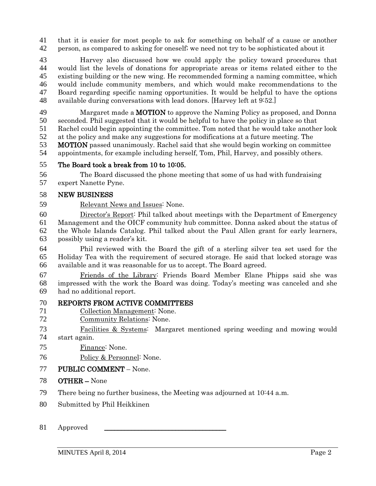41 that it is easier for most people to ask for something on behalf of a cause or another<br>42 person, as compared to asking for oneself; we need not try to be sophisticated about it person, as compared to asking for oneself; we need not try to be sophisticated about it

 Harvey also discussed how we could apply the policy toward procedures that would list the levels of donations for appropriate areas or items related either to the existing building or the new wing. He recommended forming a naming committee, which would include community members, and which would make recommendations to the Board regarding specific naming opportunities. It would be helpful to have the options available during conversations with lead donors. [Harvey left at 9:52.]

49 Margaret made a **MOTION** to approve the Naming Policy as proposed, and Donna seconded. Phil suggested that it would be helpful to have the policy in place so that

Rachel could begin appointing the committee. Tom noted that he would take another look

at the policy and make any suggestions for modifications at a future meeting. The

 MOTION passed unanimously. Rachel said that she would begin working on committee appointments, for example including herself, Tom, Phil, Harvey, and possibly others.

## The Board took a break from 10 to 10:05.

 The Board discussed the phone meeting that some of us had with fundraising expert Nanette Pyne.

## NEW BUSINESS

Relevant News and Issues: None.

 Director's Report: Phil talked about meetings with the Department of Emergency Management and the OICF community hub committee. Donna asked about the status of the Whole Islands Catalog. Phil talked about the Paul Allen grant for early learners, possibly using a reader's kit.

 Phil reviewed with the Board the gift of a sterling silver tea set used for the Holiday Tea with the requirement of secured storage. He said that locked storage was available and it was reasonable for us to accept. The Board agreed.

 Friends of the Library: Friends Board Member Elane Phipps said she was impressed with the work the Board was doing. Today's meeting was canceled and she had no additional report.

# 70 REPORTS FROM ACTIVE COMMITTEES<br>71 Collection Management: None.

- Collection Management: None.
- Community Relations: None.
- Facilities & Systems: Margaret mentioned spring weeding and mowing would start again.
- Finance: None.
- Policy & Personnel: None.

## PUBLIC COMMENT – None.

- OTHER None
- There being no further business, the Meeting was adjourned at 10:44 a.m.
- Submitted by Phil Heikkinen

### 81 Approved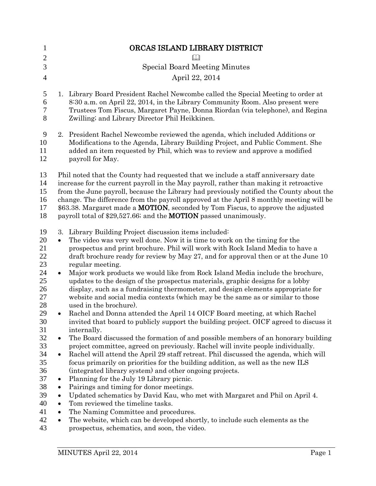| $\mathbf{1}$                                                                                                                                       | ORCAS ISLAND LIBRARY DISTRICT                                                                                                                                                                                                                                                                                                                                                                                                                                                                                                                                                                                                                                                                                                                                                                                                                                                                                                                                                                                                                                                                                                                                                                                                                                                                                                                                                                                                                                                                                                                                                                                                                                                                                                                                                                                                          |
|----------------------------------------------------------------------------------------------------------------------------------------------------|----------------------------------------------------------------------------------------------------------------------------------------------------------------------------------------------------------------------------------------------------------------------------------------------------------------------------------------------------------------------------------------------------------------------------------------------------------------------------------------------------------------------------------------------------------------------------------------------------------------------------------------------------------------------------------------------------------------------------------------------------------------------------------------------------------------------------------------------------------------------------------------------------------------------------------------------------------------------------------------------------------------------------------------------------------------------------------------------------------------------------------------------------------------------------------------------------------------------------------------------------------------------------------------------------------------------------------------------------------------------------------------------------------------------------------------------------------------------------------------------------------------------------------------------------------------------------------------------------------------------------------------------------------------------------------------------------------------------------------------------------------------------------------------------------------------------------------------|
| $\mathbf{2}$<br>3                                                                                                                                  | <b>Special Board Meeting Minutes</b>                                                                                                                                                                                                                                                                                                                                                                                                                                                                                                                                                                                                                                                                                                                                                                                                                                                                                                                                                                                                                                                                                                                                                                                                                                                                                                                                                                                                                                                                                                                                                                                                                                                                                                                                                                                                   |
|                                                                                                                                                    |                                                                                                                                                                                                                                                                                                                                                                                                                                                                                                                                                                                                                                                                                                                                                                                                                                                                                                                                                                                                                                                                                                                                                                                                                                                                                                                                                                                                                                                                                                                                                                                                                                                                                                                                                                                                                                        |
| $\overline{4}$                                                                                                                                     | April 22, 2014                                                                                                                                                                                                                                                                                                                                                                                                                                                                                                                                                                                                                                                                                                                                                                                                                                                                                                                                                                                                                                                                                                                                                                                                                                                                                                                                                                                                                                                                                                                                                                                                                                                                                                                                                                                                                         |
| 5<br>6<br>7<br>8                                                                                                                                   | 1. Library Board President Rachel Newcombe called the Special Meeting to order at<br>8:30 a.m. on April 22, 2014, in the Library Community Room. Also present were<br>Trustees Tom Fiscus, Margaret Payne, Donna Riordan (via telephone), and Regina<br>Zwilling; and Library Director Phil Heikkinen.                                                                                                                                                                                                                                                                                                                                                                                                                                                                                                                                                                                                                                                                                                                                                                                                                                                                                                                                                                                                                                                                                                                                                                                                                                                                                                                                                                                                                                                                                                                                 |
| 9<br>10<br>11<br>12                                                                                                                                | 2. President Rachel Newcombe reviewed the agenda, which included Additions or<br>Modifications to the Agenda, Library Building Project, and Public Comment. She<br>added an item requested by Phil, which was to review and approve a modified<br>payroll for May.                                                                                                                                                                                                                                                                                                                                                                                                                                                                                                                                                                                                                                                                                                                                                                                                                                                                                                                                                                                                                                                                                                                                                                                                                                                                                                                                                                                                                                                                                                                                                                     |
| 13<br>14<br>15<br>16<br>17<br>18                                                                                                                   | Phil noted that the County had requested that we include a staff anniversary date<br>increase for the current payroll in the May payroll, rather than making it retroactive<br>from the June payroll, because the Library had previously notified the County about the<br>change. The difference from the payroll approved at the April 8 monthly meeting will be<br>\$63.38. Margaret made a <b>MOTION</b> , seconded by Tom Fiscus, to approve the adjusted<br>payroll total of \$29,527.66; and the <b>MOTION</b> passed unanimously.                                                                                                                                                                                                                                                                                                                                                                                                                                                                                                                                                                                                                                                                                                                                                                                                                                                                                                                                                                                                                                                                                                                                                                                                                                                                                               |
| 19<br>20<br>21<br>22<br>23<br>24<br>25<br>26<br>27<br>28<br>29<br>30<br>31<br>32<br>33<br>34<br>35<br>36<br>37<br>38<br>39<br>40<br>41<br>42<br>43 | Library Building Project discussion items included:<br>3.<br>The video was very well done. Now it is time to work on the timing for the<br>$\bullet$<br>prospectus and print brochure. Phil will work with Rock Island Media to have a<br>draft brochure ready for review by May 27, and for approval then or at the June 10<br>regular meeting.<br>Major work products we would like from Rock Island Media include the brochure,<br>$\bullet$<br>updates to the design of the prospectus materials, graphic designs for a lobby<br>display, such as a fundraising thermometer, and design elements appropriate for<br>website and social media contexts (which may be the same as or similar to those<br>used in the brochure).<br>Rachel and Donna attended the April 14 OICF Board meeting, at which Rachel<br>٠<br>invited that board to publicly support the building project. OICF agreed to discuss it<br>internally.<br>The Board discussed the formation of and possible members of an honorary building<br>$\bullet$<br>project committee, agreed on previously. Rachel will invite people individually.<br>Rachel will attend the April 29 staff retreat. Phil discussed the agenda, which will<br>$\bullet$<br>focus primarily on priorities for the building addition, as well as the new ILS<br>(integrated library system) and other ongoing projects.<br>Planning for the July 19 Library picnic.<br>$\bullet$<br>Pairings and timing for donor meetings.<br>$\bullet$<br>Updated schematics by David Kau, who met with Margaret and Phil on April 4.<br>$\bullet$<br>Tom reviewed the timeline tasks.<br>$\bullet$<br>The Naming Committee and procedures.<br>$\bullet$<br>The website, which can be developed shortly, to include such elements as the<br>$\bullet$<br>prospectus, schematics, and soon, the video. |
|                                                                                                                                                    |                                                                                                                                                                                                                                                                                                                                                                                                                                                                                                                                                                                                                                                                                                                                                                                                                                                                                                                                                                                                                                                                                                                                                                                                                                                                                                                                                                                                                                                                                                                                                                                                                                                                                                                                                                                                                                        |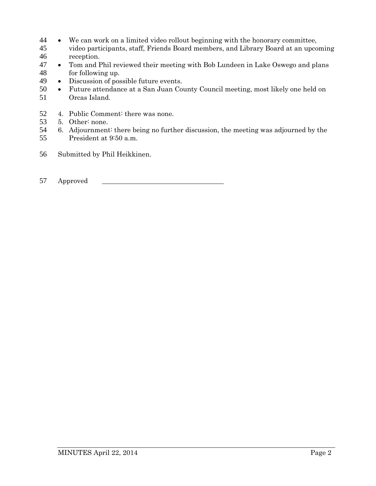- 44 We can work on a limited video rollout beginning with the honorary committee,<br>45 video participants, staff, Friends Board members, and Library Board at an upco
- video participants, staff, Friends Board members, and Library Board at an upcoming 46 reception.
- 47 Tom and Phil reviewed their meeting with Bob Lundeen in Lake Oswego and plans 48 for following up.<br>49 • Discussion of pos
- 49 Discussion of possible future events.<br>50 Future attendance at a San Juan Co
- 50 Future attendance at a San Juan County Council meeting, most likely one held on 51 Orcas Island.
- 52 4. Public Comment: there was none.
- 53 5. Other: none.
- 54 6. Adjournment: there being no further discussion, the meeting was adjourned by the 55 President at 9:50 a.m.
- 56 Submitted by Phil Heikkinen.
- 57 Approved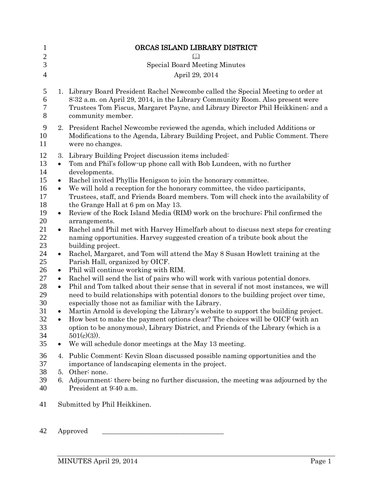| 1                    |                        | ORCAS ISLAND LIBRARY DISTRICT                                                                                                                                                                                                                                                                                         |
|----------------------|------------------------|-----------------------------------------------------------------------------------------------------------------------------------------------------------------------------------------------------------------------------------------------------------------------------------------------------------------------|
| $\mathbf{2}$<br>3    |                        | <b>Special Board Meeting Minutes</b>                                                                                                                                                                                                                                                                                  |
| $\overline{4}$       |                        | April 29, 2014                                                                                                                                                                                                                                                                                                        |
| 5<br>6<br>7<br>8     |                        | 1. Library Board President Rachel Newcombe called the Special Meeting to order at<br>8:32 a.m. on April 29, 2014, in the Library Community Room. Also present were<br>Trustees Tom Fiscus, Margaret Payne, and Library Director Phil Heikkinen; and a<br>community member.                                            |
| 9<br>10<br>11        |                        | 2. President Rachel Newcombe reviewed the agenda, which included Additions or<br>Modifications to the Agenda, Library Building Project, and Public Comment. There<br>were no changes.                                                                                                                                 |
| 12<br>13<br>14       | 3.<br>$\bullet$        | Library Building Project discussion items included:<br>Tom and Phil's follow-up phone call with Bob Lundeen, with no further<br>developments.                                                                                                                                                                         |
| 15                   | $\bullet$              | Rachel invited Phyllis Henigson to join the honorary committee.                                                                                                                                                                                                                                                       |
| 16<br>17             | $\bullet$              | We will hold a reception for the honorary committee, the video participants,<br>Trustees, staff, and Friends Board members. Tom will check into the availability of                                                                                                                                                   |
| 18                   |                        | the Grange Hall at 6 pm on May 13.                                                                                                                                                                                                                                                                                    |
| 19<br>20             | $\bullet$              | Review of the Rock Island Media (RIM) work on the brochure; Phil confirmed the<br>arrangements.                                                                                                                                                                                                                       |
| 21<br>22             | $\bullet$              | Rachel and Phil met with Harvey Himelfarb about to discuss next steps for creating<br>naming opportunities. Harvey suggested creation of a tribute book about the                                                                                                                                                     |
| 23<br>24<br>25       | $\bullet$              | building project.<br>Rachel, Margaret, and Tom will attend the May 8 Susan Howlett training at the<br>Parish Hall, organized by OICF.                                                                                                                                                                                 |
| 26                   | $\bullet$              | Phil will continue working with RIM.                                                                                                                                                                                                                                                                                  |
| 27<br>28<br>29<br>30 | $\bullet$<br>$\bullet$ | Rachel will send the list of pairs who will work with various potential donors.<br>Phil and Tom talked about their sense that in several if not most instances, we will<br>need to build relationships with potential donors to the building project over time,<br>especially those not as familiar with the Library. |
| 31<br>32<br>33<br>34 | $\bullet$              | Martin Arnold is developing the Library's website to support the building project.<br>How best to make the payment options clear? The choices will be OICF (with an<br>option to be anonymous), Library District, and Friends of the Library (which is a<br>$501(c)(3)$ .                                             |
| 35                   | $\bullet$              | We will schedule donor meetings at the May 13 meeting.                                                                                                                                                                                                                                                                |
| 36<br>37             | 4.                     | Public Comment: Kevin Sloan discussed possible naming opportunities and the<br>importance of landscaping elements in the project.<br>Other: none.                                                                                                                                                                     |
| 38<br>39<br>40       | 5.<br>6.               | Adjournment: there being no further discussion, the meeting was adjourned by the<br>President at 9:40 a.m.                                                                                                                                                                                                            |
| 41                   |                        | Submitted by Phil Heikkinen.                                                                                                                                                                                                                                                                                          |

Approved \_\_\_\_\_\_\_\_\_\_\_\_\_\_\_\_\_\_\_\_\_\_\_\_\_\_\_\_\_\_\_\_\_\_\_\_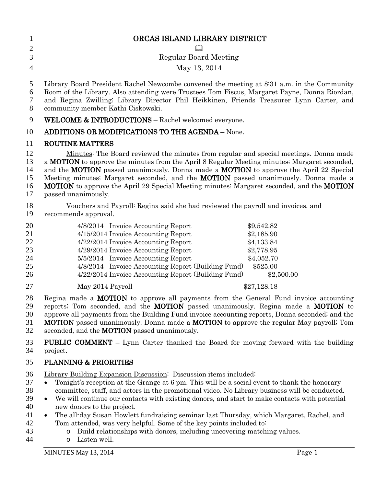| $\mathbf{1}$<br>$\mathbf{2}$           | ORCAS ISLAND LIBRARY DISTRICT                                                                                                                                                                                                                                                                                                                                                                                                                                                                                                        |
|----------------------------------------|--------------------------------------------------------------------------------------------------------------------------------------------------------------------------------------------------------------------------------------------------------------------------------------------------------------------------------------------------------------------------------------------------------------------------------------------------------------------------------------------------------------------------------------|
| 3                                      | <b>Regular Board Meeting</b>                                                                                                                                                                                                                                                                                                                                                                                                                                                                                                         |
| $\overline{4}$                         | May 13, 2014                                                                                                                                                                                                                                                                                                                                                                                                                                                                                                                         |
| 5<br>6<br>7<br>8                       | Library Board President Rachel Newcombe convened the meeting at 8:31 a.m. in the Community<br>Room of the Library. Also attending were Trustees Tom Fiscus, Margaret Payne, Donna Riordan,<br>and Regina Zwilling; Library Director Phil Heikkinen, Friends Treasurer Lynn Carter, and<br>community member Kathi Ciskowski.                                                                                                                                                                                                          |
| 9                                      | <b>WELCOME &amp; INTRODUCTIONS - Rachel welcomed everyone.</b>                                                                                                                                                                                                                                                                                                                                                                                                                                                                       |
| 10                                     | ADDITIONS OR MODIFICATIONS TO THE AGENDA - None.                                                                                                                                                                                                                                                                                                                                                                                                                                                                                     |
| 11                                     | <b>ROUTINE MATTERS</b>                                                                                                                                                                                                                                                                                                                                                                                                                                                                                                               |
| 12<br>13<br>14<br>15<br>16<br>17       | Minutes: The Board reviewed the minutes from regular and special meetings. Donna made<br>a <b>MOTION</b> to approve the minutes from the April 8 Regular Meeting minutes; Margaret seconded,<br>and the <b>MOTION</b> passed unanimously. Donna made a <b>MOTION</b> to approve the April 22 Special<br>Meeting minutes; Margaret seconded, and the <b>MOTION</b> passed unanimously. Donna made a<br><b>MOTION</b> to approve the April 29 Special Meeting minutes; Margaret seconded, and the <b>MOTION</b><br>passed unanimously. |
| 18<br>19                               | Vouchers and Payroll: Regina said she had reviewed the payroll and invoices, and<br>recommends approval.                                                                                                                                                                                                                                                                                                                                                                                                                             |
| 20<br>21<br>22<br>23<br>24<br>25<br>26 | 4/8/2014 Invoice Accounting Report<br>\$9,542.82<br>4/15/2014 Invoice Accounting Report<br>\$2,185.90<br>4/22/2014 Invoice Accounting Report<br>\$4,133.84<br>4/29/2014 Invoice Accounting Report<br>\$2,778.95<br>5/5/2014 Invoice Accounting Report<br>\$4,052.70<br>4/8/2014 Invoice Accounting Report (Building Fund)<br>\$525.00<br>4/22/2014 Invoice Accounting Report (Building Fund)<br>\$2,500.00                                                                                                                           |
| 27                                     | May 2014 Payroll<br>\$27,128.18                                                                                                                                                                                                                                                                                                                                                                                                                                                                                                      |
| 28<br>29<br>30<br>31<br>32             | Regina made a <b>MOTION</b> to approve all payments from the General Fund invoice accounting<br>reports; Tom seconded, and the MOTION passed unanimously. Regina made a MOTION to<br>approve all payments from the Building Fund invoice accounting reports, Donna seconded; and the<br><b>MOTION</b> passed unanimously. Donna made a <b>MOTION</b> to approve the regular May payroll; Tom<br>seconded, and the <b>MOTION</b> passed unanimously.                                                                                  |
| 33<br>34                               | <b>PUBLIC COMMENT</b> – Lynn Carter thanked the Board for moving forward with the building<br>project.                                                                                                                                                                                                                                                                                                                                                                                                                               |
| $\sim$ $\sim$                          | $\mathbf{m} \cdot \mathbf{r}$ o $\mathbf{m} \cdot \mathbf{r}$                                                                                                                                                                                                                                                                                                                                                                                                                                                                        |

35 PLANNING & PRIORITIES

36 Library Building Expansion Discussion: Discussion items included:

- 37 Tonight's reception at the Grange at 6 pm. This will be a social event to thank the honorary 38 committee, staff, and actors in the promotional video. No Library business will be conducted.<br>39 • We will continue our contacts with existing donors, and start to make contacts with potential
- <sup>39</sup> We will continue our contacts with existing donors, and start to make contacts with potential new donors to the project. new donors to the project.
- 41 The all-day Susan Howlett fundraising seminar last Thursday, which Margaret, Rachel, and 42 Tom attended, was very helpful. Some of the key points included to:
- 43 o Build relationships with donors, including uncovering matching values.<br>44 o Listen well.
- o Listen well.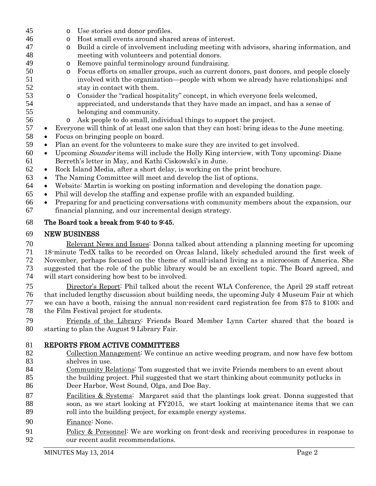- o Use stories and donor profiles. 46 o Host small events around shared areas of interest.<br>47 o Build a circle of involvement including meeting wit o Build a circle of involvement including meeting with advisors, sharing information, and meeting with volunteers and potential donors. 49 o Remove painful terminology around fundraising.<br>50 o Focus efforts on smaller groups, such as current d 50 o Focus efforts on smaller groups, such as current donors, past donors, and people closely<br>51 involved with the organization—people with whom we already have relationships; and involved with the organization—people with whom we already have relationships; and stay in contact with them. 53 consider the "radical hospitality" concept, in which everyone feels welcomed,<br>54 speciated, and understands that they have made an impact, and has a sens appreciated, and understands that they have made an impact, and has a sense of belonging and community.
	-
- 56 o Ask people to do small, individual things to support the project.<br>57 Everyone will think of at least one salon that they can host; bring ideas Everyone will think of at least one salon that they can host; bring ideas to the June meeting.
- Focus on bringing people on board.
- Plan an event for the volunteers to make sure they are invited to get involved.
- Upcoming Sounder items will include the Holly King interview, with Tony upcoming; Diane Berreth's letter in May, and Kathi Ciskowski's in June.
- Rock Island Media, after a short delay, is working on the print brochure.
- The Naming Committee will meet and develop the list of options.
- Website: Martin is working on posting information and developing the donation page.
- Phil will develop the staffing and expense profile with an expanded building.
- Preparing for and practicing conversations with community members about the expansion, our financial planning, and our incremental design strategy.

## The Board took a break from 9:40 to 9:45.

## NEW BUSINESS

 Relevant News and Issues: Donna talked about attending a planning meeting for upcoming 18-minute TedX talks to be recorded on Orcas Island, likely scheduled around the first week of November, perhaps focused on the theme of small-island living as a microcosm of America. She suggested that the role of the public library would be an excellent topic. The Board agreed, and will start considering how best to be involved.

 Director's Report: Phil talked about the recent WLA Conference, the April 29 staff retreat that included lengthy discussion about building needs, the upcoming July 4 Museum Fair at which we can have a booth, raising the annual non-resident card registration fee from \$75 to \$100; and the Film Festival project for students.

- Friends of the Library: Friends Board Member Lynn Carter shared that the board is starting to plan the August 9 Library Fair.
- REPORTS FROM ACTIVE COMMITTEES
- Collection Management: We continue an active weeding program, and now have few bottom shelves in use.
- Community Relations: Tom suggested that we invite Friends members to an event about the building project. Phil suggested that we start thinking about community potlucks in
- Deer Harbor, West Sound, Olga, and Doe Bay.
- Facilities & Systems: Margaret said that the plantings look great. Donna suggested that soon, as we start looking at FY2015, we start looking at maintenance items that we can roll into the building project, for example energy systems.
- Finance: None.
- 91 Policy & Personnel: We are working on front-desk and receiving procedures in response to our recent audit recommendations.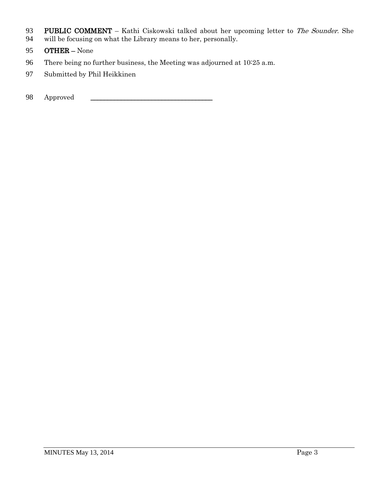- 93 PUBLIC COMMENT Kathi Ciskowski talked about her upcoming letter to The Sounder. She
- 94 will be focusing on what the Library means to her, personally.
- 95 OTHER None
- 96 There being no further business, the Meeting was adjourned at 10:25 a.m.
- 97 Submitted by Phil Heikkinen
- 98 Approved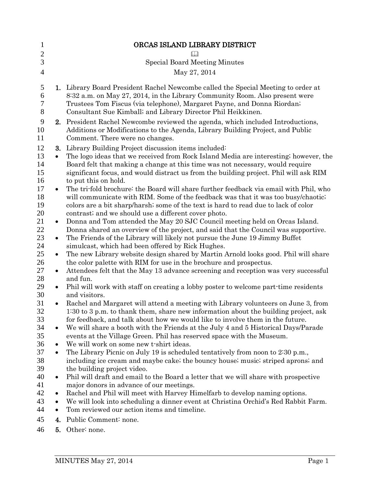| 1              |           | ORCAS ISLAND LIBRARY DISTRICT                                                                  |
|----------------|-----------|------------------------------------------------------------------------------------------------|
| $\overline{c}$ |           | $\Box$                                                                                         |
| 3              |           | <b>Special Board Meeting Minutes</b>                                                           |
| $\overline{4}$ |           | May 27, 2014                                                                                   |
| 5              |           | 1. Library Board President Rachel Newcombe called the Special Meeting to order at              |
| 6              |           | 8:32 a.m. on May 27, 2014, in the Library Community Room. Also present were                    |
| 7              |           | Trustees Tom Fiscus (via telephone), Margaret Payne, and Donna Riordan;                        |
| 8              |           | Consultant Sue Kimball; and Library Director Phil Heikkinen.                                   |
| 9              |           | 2. President Rachel Newcombe reviewed the agenda, which included Introductions,                |
| 10             |           | Additions or Modifications to the Agenda, Library Building Project, and Public                 |
| 11             |           | Comment. There were no changes.                                                                |
| 12             | 3.        | Library Building Project discussion items included:                                            |
| 13             | $\bullet$ | The logo ideas that we received from Rock Island Media are interesting; however, the           |
| 14             |           | Board felt that making a change at this time was not necessary, would require                  |
| 15             |           | significant focus, and would distract us from the building project. Phil will ask RIM          |
| 16             |           | to put this on hold.                                                                           |
| 17             | $\bullet$ | The tri-fold brochure: the Board will share further feedback via email with Phil, who          |
| 18             |           | will communicate with RIM. Some of the feedback was that it was too busy/chaotic;              |
| 19             |           | colors are a bit sharp/harsh; some of the text is hard to read due to lack of color            |
| 20             |           | contrast; and we should use a different cover photo.                                           |
| 21             | $\bullet$ | Donna and Tom attended the May 20 SJC Council meeting held on Orcas Island.                    |
| 22             |           | Donna shared an overview of the project, and said that the Council was supportive.             |
| 23             | $\bullet$ | The Friends of the Library will likely not pursue the June 19 Jimmy Buffet                     |
| 24             |           | simulcast, which had been offered by Rick Hughes.                                              |
| 25             | $\bullet$ | The new Library website design shared by Martin Arnold looks good. Phil will share             |
| 26<br>27       |           | the color palette with RIM for use in the brochure and prospectus.                             |
| 28             | $\bullet$ | Attendees felt that the May 13 advance screening and reception was very successful<br>and fun. |
| 29             | $\bullet$ | Phil will work with staff on creating a lobby poster to welcome part-time residents            |
| 30             |           | and visitors.                                                                                  |
| 31             |           | Rachel and Margaret will attend a meeting with Library volunteers on June 3, from              |
| 32             |           | 1:30 to 3 p.m. to thank them, share new information about the building project, ask            |
| 33             |           | for feedback, and talk about how we would like to involve them in the future.                  |
| 34             | $\bullet$ | We will share a booth with the Friends at the July 4 and 5 Historical Days/Parade              |
| 35             |           | events at the Village Green. Phil has reserved space with the Museum.                          |
| 36             | $\bullet$ | We will work on some new t-shirt ideas.                                                        |
| 37             | $\bullet$ | The Library Picnic on July 19 is scheduled tentatively from noon to 2:30 p.m.,                 |
| 38             |           | including ice cream and maybe cake; the bouncy house; music; striped aprons; and               |
| 39             |           | the building project video.                                                                    |
| 40             | $\bullet$ | Phil will draft and email to the Board a letter that we will share with prospective            |
| 41             |           | major donors in advance of our meetings.                                                       |
| 42             | ٠         | Rachel and Phil will meet with Harvey Himelfarb to develop naming options.                     |
| 43             | $\bullet$ | We will look into scheduling a dinner event at Christina Orchid's Red Rabbit Farm.             |
| 44             | $\bullet$ | Tom reviewed our action items and timeline.                                                    |
| 45             | 4.        | Public Comment: none.                                                                          |
| 46             | 5.        | Other: none.                                                                                   |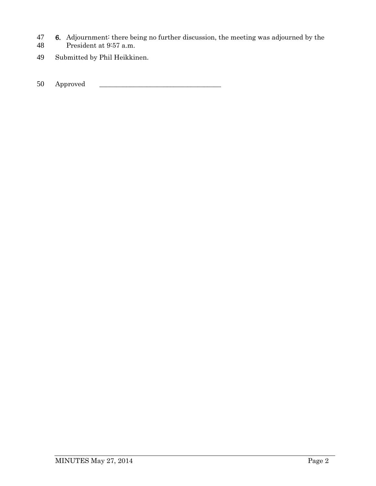- 47 **6.** Adjournment: there being no further discussion, the meeting was adjourned by the President at 9:57 a.m.
- President at 9:57 a.m.
- 49 Submitted by Phil Heikkinen.

50 Approved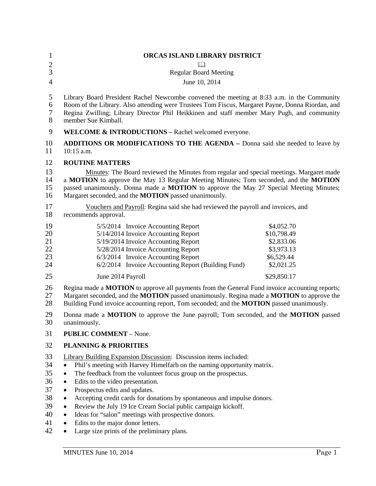| 1<br>$\overline{c}$                                | ORCAS ISLAND LIBRARY DISTRICT<br>$\Box$                                                                                                                                                                                                                                                                                                                                                                                                                                                                                                                                                                                          |                                                                                   |
|----------------------------------------------------|----------------------------------------------------------------------------------------------------------------------------------------------------------------------------------------------------------------------------------------------------------------------------------------------------------------------------------------------------------------------------------------------------------------------------------------------------------------------------------------------------------------------------------------------------------------------------------------------------------------------------------|-----------------------------------------------------------------------------------|
| $\overline{3}$                                     | <b>Regular Board Meeting</b>                                                                                                                                                                                                                                                                                                                                                                                                                                                                                                                                                                                                     |                                                                                   |
| $\overline{4}$                                     | June 10, 2014                                                                                                                                                                                                                                                                                                                                                                                                                                                                                                                                                                                                                    |                                                                                   |
| 5<br>6<br>$\boldsymbol{7}$<br>8                    | Library Board President Rachel Newcombe convened the meeting at 8:33 a.m. in the Community<br>Room of the Library. Also attending were Trustees Tom Fiscus, Margaret Payne, Donna Riordan, and<br>Regina Zwilling; Library Director Phil Heikkinen and staff member Mary Pugh, and community<br>member Sue Kimball.                                                                                                                                                                                                                                                                                                              |                                                                                   |
| 9                                                  | <b>WELCOME &amp; INTRODUCTIONS - Rachel welcomed everyone.</b>                                                                                                                                                                                                                                                                                                                                                                                                                                                                                                                                                                   |                                                                                   |
| 10<br>11                                           | <b>ADDITIONS OR MODIFICATIONS TO THE AGENDA – Donna said she needed to leave by</b><br>10:15 a.m.                                                                                                                                                                                                                                                                                                                                                                                                                                                                                                                                |                                                                                   |
| 12                                                 | <b>ROUTINE MATTERS</b>                                                                                                                                                                                                                                                                                                                                                                                                                                                                                                                                                                                                           |                                                                                   |
| 13<br>14<br>15<br>16                               | Minutes: The Board reviewed the Minutes from regular and special meetings. Margaret made<br>a MOTION to approve the May 13 Regular Meeting Minutes; Tom seconded, and the MOTION<br>passed unanimously. Donna made a <b>MOTION</b> to approve the May 27 Special Meeting Minutes;<br>Margaret seconded, and the <b>MOTION</b> passed unanimously.                                                                                                                                                                                                                                                                                |                                                                                   |
| 17<br>18                                           | Vouchers and Payroll: Regina said she had reviewed the payroll and invoices, and<br>recommends approval.                                                                                                                                                                                                                                                                                                                                                                                                                                                                                                                         |                                                                                   |
| 19<br>20<br>21<br>22<br>23<br>24                   | 5/5/2014 Invoice Accounting Report<br>5/14/2014 Invoice Accounting Report<br>5/19/2014 Invoice Accounting Report<br>5/28/2014 Invoice Accounting Report<br>6/3/2014 Invoice Accounting Report<br>6/2/2014 Invoice Accounting Report (Building Fund)                                                                                                                                                                                                                                                                                                                                                                              | \$4,052.70<br>\$10,798.49<br>\$2,833.06<br>\$3,973.13<br>\$6,529.44<br>\$2,021.25 |
| 25                                                 | June 2014 Payroll                                                                                                                                                                                                                                                                                                                                                                                                                                                                                                                                                                                                                | \$29,850.17                                                                       |
| 26<br>27<br>28                                     | Regina made a <b>MOTION</b> to approve all payments from the General Fund invoice accounting reports;<br>Margaret seconded, and the MOTION passed unanimously. Regina made a MOTION to approve the<br>Building Fund invoice accounting report, Tom seconded; and the <b>MOTION</b> passed unanimously.                                                                                                                                                                                                                                                                                                                           |                                                                                   |
| 29<br>30                                           | Donna made a <b>MOTION</b> to approve the June payroll; Tom seconded, and the <b>MOTION</b> passed<br>unanimously.                                                                                                                                                                                                                                                                                                                                                                                                                                                                                                               |                                                                                   |
| 31                                                 | <b>PUBLIC COMMENT - None.</b>                                                                                                                                                                                                                                                                                                                                                                                                                                                                                                                                                                                                    |                                                                                   |
| 32                                                 | <b>PLANNING &amp; PRIORITIES</b>                                                                                                                                                                                                                                                                                                                                                                                                                                                                                                                                                                                                 |                                                                                   |
| 33<br>34<br>35<br>36<br>37<br>38<br>39<br>40<br>41 | <b>Library Building Expansion Discussion:</b> Discussion items included:<br>Phil's meeting with Harvey Himelfarb on the naming opportunity matrix.<br>$\bullet$<br>The feedback from the volunteer focus group on the prospectus.<br>$\bullet$<br>Edits to the video presentation.<br>$\bullet$<br>Prospectus edits and updates.<br>$\bullet$<br>Accepting credit cards for donations by spontaneous and impulse donors.<br>$\bullet$<br>Review the July 19 Ice Cream Social public campaign kickoff.<br>$\bullet$<br>Ideas for "salon" meetings with prospective donors.<br>$\bullet$<br>Edits to the major donor letters.<br>٠ |                                                                                   |

• Large size prints of the preliminary plans.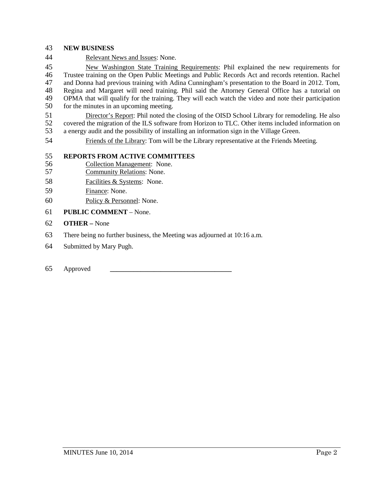### **NEW BUSINESS**

Relevant News and Issues: None.

 New Washington State Training Requirements: Phil explained the new requirements for Trustee training on the Open Public Meetings and Public Records Act and records retention. Rachel and Donna had previous training with Adina Cunningham's presentation to the Board in 2012. Tom, 48 Regina and Margaret will need training. Phil said the Attorney General Office has a tutorial on<br>49 OPMA that will qualify for the training. They will each watch the video and note their participation 49 OPMA that will qualify for the training. They will each watch the video and note their participation<br>50 for the minutes in an uncoming meeting. for the minutes in an upcoming meeting.

- 51 Director's Report: Phil noted the closing of the OISD School Library for remodeling. He also<br>52 covered the migration of the ILS software from Horizon to TLC. Other items included information on covered the migration of the ILS software from Horizon to TLC. Other items included information on a energy audit and the possibility of installing an information sign in the Village Green.
- Friends of the Library: Tom will be the Library representative at the Friends Meeting.

### **REPORTS FROM ACTIVE COMMITTEES**

- 56 Collection Management: None.<br>57 Community Relations: None.
- Community Relations: None.
- Facilities & Systems: None.
- Finance: None.
- Policy & Personnel: None.
- **PUBLIC COMMENT** None.
- **OTHER –** None
- There being no further business, the Meeting was adjourned at 10:16 a.m.
- Submitted by Mary Pugh.

### Approved **\_\_\_\_\_\_\_\_\_\_\_\_\_\_\_\_\_\_\_\_\_\_\_\_\_\_\_\_\_\_\_\_\_\_\_\_**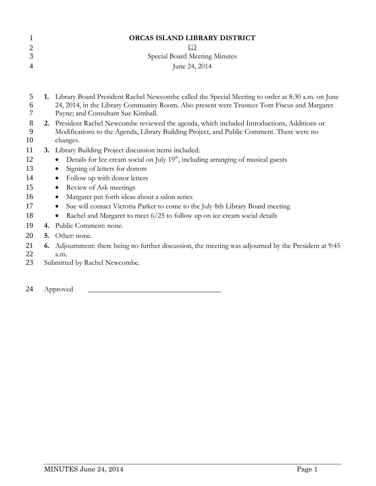|   | ORCAS ISLAND LIBRARY DISTRICT |  |
|---|-------------------------------|--|
| 2 |                               |  |
| 3 | Special Board Meeting Minutes |  |
| 4 | June 24, 2014                 |  |
|   |                               |  |
|   |                               |  |

- 5 **1.** Library Board President Rachel Newcombe called the Special Meeting to order at 8:30 a.m. on June 6 24, 2014, in the Library Community Room. Also present were Trustees Tom Fiscus and Margaret 7 Payne; and Consultant Sue Kimball.
- 8 **2.** President Rachel Newcombe reviewed the agenda, which included Introductions, Additions or Modifications to the Agenda. Library Building Project, and Public Comment. There were no Modifications to the Agenda, Library Building Project, and Public Comment. There were no 10 changes.
- 11 **3.** Library Building Project discussion items included:
- $\bullet$  Details for Ice cream social on July  $19<sup>th</sup>$ , including arranging of musical guests
- 13 Signing of letters for donors
- 14 Follow up with donor letters
- 15 Review of Ask meetings
- 16 Margaret put forth ideas about a salon series
- 17 Sue will contact Victoria Parker to come to the July 8th Library Board meeting
- 18 Rachel and Margaret to meet 6/25 to follow up on ice cream social details
- 19 **4.** Public Comment: none.
- 20 **5.** Other: none.
- 21 **6.** Adjournment: there being no further discussion, the meeting was adjourned by the President at 9:45 a.m. a.m.
- 23 Submitted by Rachel Newcombe.
- 24 Approved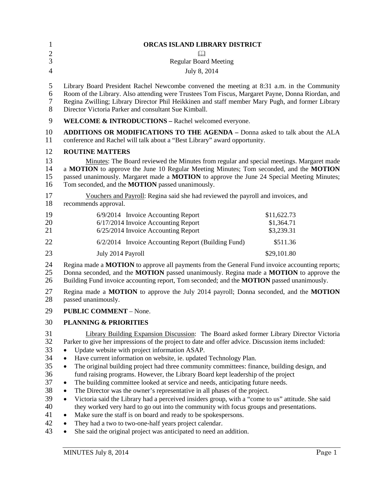| 1                                                                    | ORCAS ISLAND LIBRARY DISTRICT                                                                                                                                                                                                                                                                                                                                                                                                                                                                                                                                                                                                                                                                                                                                                                                                                                                                                                                                                                                                                                                               |                                         |  |
|----------------------------------------------------------------------|---------------------------------------------------------------------------------------------------------------------------------------------------------------------------------------------------------------------------------------------------------------------------------------------------------------------------------------------------------------------------------------------------------------------------------------------------------------------------------------------------------------------------------------------------------------------------------------------------------------------------------------------------------------------------------------------------------------------------------------------------------------------------------------------------------------------------------------------------------------------------------------------------------------------------------------------------------------------------------------------------------------------------------------------------------------------------------------------|-----------------------------------------|--|
| $\overline{c}$                                                       | $\Box$                                                                                                                                                                                                                                                                                                                                                                                                                                                                                                                                                                                                                                                                                                                                                                                                                                                                                                                                                                                                                                                                                      |                                         |  |
| $\overline{3}$                                                       | <b>Regular Board Meeting</b>                                                                                                                                                                                                                                                                                                                                                                                                                                                                                                                                                                                                                                                                                                                                                                                                                                                                                                                                                                                                                                                                |                                         |  |
| $\overline{4}$                                                       | July 8, 2014                                                                                                                                                                                                                                                                                                                                                                                                                                                                                                                                                                                                                                                                                                                                                                                                                                                                                                                                                                                                                                                                                |                                         |  |
| 5<br>6<br>7<br>8                                                     | Library Board President Rachel Newcombe convened the meeting at 8:31 a.m. in the Community<br>Room of the Library. Also attending were Trustees Tom Fiscus, Margaret Payne, Donna Riordan, and<br>Regina Zwilling; Library Director Phil Heikkinen and staff member Mary Pugh, and former Library<br>Director Victoria Parker and consultant Sue Kimball.                                                                                                                                                                                                                                                                                                                                                                                                                                                                                                                                                                                                                                                                                                                                   |                                         |  |
| 9                                                                    | WELCOME & INTRODUCTIONS - Rachel welcomed everyone.                                                                                                                                                                                                                                                                                                                                                                                                                                                                                                                                                                                                                                                                                                                                                                                                                                                                                                                                                                                                                                         |                                         |  |
| 10<br>11                                                             | <b>ADDITIONS OR MODIFICATIONS TO THE AGENDA - Donna asked to talk about the ALA</b><br>conference and Rachel will talk about a "Best Library" award opportunity.                                                                                                                                                                                                                                                                                                                                                                                                                                                                                                                                                                                                                                                                                                                                                                                                                                                                                                                            |                                         |  |
| 12                                                                   | <b>ROUTINE MATTERS</b>                                                                                                                                                                                                                                                                                                                                                                                                                                                                                                                                                                                                                                                                                                                                                                                                                                                                                                                                                                                                                                                                      |                                         |  |
| 13<br>14<br>15<br>16                                                 | Minutes: The Board reviewed the Minutes from regular and special meetings. Margaret made<br>a MOTION to approve the June 10 Regular Meeting Minutes; Tom seconded, and the MOTION<br>passed unanimously. Margaret made a <b>MOTION</b> to approve the June 24 Special Meeting Minutes;<br>Tom seconded, and the <b>MOTION</b> passed unanimously.                                                                                                                                                                                                                                                                                                                                                                                                                                                                                                                                                                                                                                                                                                                                           |                                         |  |
| 17<br>18                                                             | Vouchers and Payroll: Regina said she had reviewed the payroll and invoices, and<br>recommends approval.                                                                                                                                                                                                                                                                                                                                                                                                                                                                                                                                                                                                                                                                                                                                                                                                                                                                                                                                                                                    |                                         |  |
| 19<br>20<br>21                                                       | 6/9/2014 Invoice Accounting Report<br>6/17/2014 Invoice Accounting Report<br>6/25/2014 Invoice Accounting Report                                                                                                                                                                                                                                                                                                                                                                                                                                                                                                                                                                                                                                                                                                                                                                                                                                                                                                                                                                            | \$11,622.73<br>\$1,364.71<br>\$3,239.31 |  |
| 22                                                                   | 6/2/2014 Invoice Accounting Report (Building Fund)                                                                                                                                                                                                                                                                                                                                                                                                                                                                                                                                                                                                                                                                                                                                                                                                                                                                                                                                                                                                                                          | \$511.36                                |  |
| 23                                                                   | July 2014 Payroll                                                                                                                                                                                                                                                                                                                                                                                                                                                                                                                                                                                                                                                                                                                                                                                                                                                                                                                                                                                                                                                                           | \$29,101.80                             |  |
| 24<br>25<br>26                                                       | Regina made a <b>MOTION</b> to approve all payments from the General Fund invoice accounting reports;<br>Donna seconded, and the MOTION passed unanimously. Regina made a MOTION to approve the<br>Building Fund invoice accounting report, Tom seconded; and the MOTION passed unanimously.                                                                                                                                                                                                                                                                                                                                                                                                                                                                                                                                                                                                                                                                                                                                                                                                |                                         |  |
| 27<br>28                                                             | Regina made a MOTION to approve the July 2014 payroll; Donna seconded, and the MOTION<br>passed unanimously.                                                                                                                                                                                                                                                                                                                                                                                                                                                                                                                                                                                                                                                                                                                                                                                                                                                                                                                                                                                |                                         |  |
| 29                                                                   | <b>PUBLIC COMMENT - None.</b>                                                                                                                                                                                                                                                                                                                                                                                                                                                                                                                                                                                                                                                                                                                                                                                                                                                                                                                                                                                                                                                               |                                         |  |
| 30                                                                   | <b>PLANNING &amp; PRIORITIES</b>                                                                                                                                                                                                                                                                                                                                                                                                                                                                                                                                                                                                                                                                                                                                                                                                                                                                                                                                                                                                                                                            |                                         |  |
| 31<br>32<br>33<br>34<br>35<br>36<br>37<br>38<br>39<br>40<br>41<br>42 | Library Building Expansion Discussion: The Board asked former Library Director Victoria<br>Parker to give her impressions of the project to date and offer advice. Discussion items included:<br>Update website with project information ASAP.<br>$\bullet$<br>Have current information on website, ie. updated Technology Plan.<br>$\bullet$<br>The original building project had three community committees: finance, building design, and<br>$\bullet$<br>fund raising programs. However, the Library Board kept leadership of the project<br>The building committee looked at service and needs, anticipating future needs.<br>$\bullet$<br>The Director was the owner's representative in all phases of the project.<br>$\bullet$<br>Victoria said the Library had a perceived insiders group, with a "come to us" attitude. She said<br>$\bullet$<br>they worked very hard to go out into the community with focus groups and presentations.<br>Make sure the staff is on board and ready to be spokespersons.<br>$\bullet$<br>They had a two to two-one-half years project calendar. |                                         |  |
| 43                                                                   | She said the original project was anticipated to need an addition.                                                                                                                                                                                                                                                                                                                                                                                                                                                                                                                                                                                                                                                                                                                                                                                                                                                                                                                                                                                                                          |                                         |  |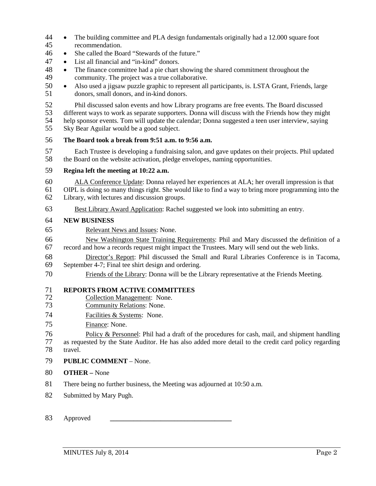- The building committee and PLA design fundamentals originally had a 12.000 square foot recommendation.
- She called the Board "Stewards of the future."
- List all financial and "in-kind" donors.
- 48 The finance committee had a pie chart showing the shared commitment throughout the community. The project was a true collaborative. community. The project was a true collaborative.
- Also used a jigsaw puzzle graphic to represent all participants, is. LSTA Grant, Friends, large donors, small donors, and in-kind donors.
- 52 Phil discussed salon events and how Library programs are free events. The Board discussed<br>53 different ways to work as separate supporters. Donna will discuss with the Friends how they mig

53 different ways to work as separate supporters. Donna will discuss with the Friends how they might<br>54 help sponsor events. Tom will update the calendar: Donna suggested a teen user interview, saying

- help sponsor events. Tom will update the calendar; Donna suggested a teen user interview, saying Sky Bear Aguilar would be a good subject.
- **The Board took a break from 9:51 a.m. to 9:56 a.m.**
- Each Trustee is developing a fundraising salon, and gave updates on their projects. Phil updated the Board on the website activation, pledge envelopes, naming opportunities.

### **Regina left the meeting at 10:22 a.m.**

60 ALA Conference Update: Donna relayed her experiences at ALA; her overall impression is that 61 OIPL is doing so many things right. She would like to find a way to bring more programming into the 61 OIPL is doing so many things right. She would like to find a way to bring more programming into the Library, with lectures and discussion groups. Library, with lectures and discussion groups.

Best Library Award Application: Rachel suggested we look into submitting an entry.

### **NEW BUSINESS**

Relevant News and Issues: None.

66 New Washington State Training Requirements: Phil and Mary discussed the definition of a<br>67 necord and how a records request might impact the Trustees. Mary will send out the web links. record and how a records request might impact the Trustees. Mary will send out the web links.

- 68 Director's Report: Phil discussed the Small and Rural Libraries Conference is in Tacoma,<br>69 September 4-7: Final tee shirt design and ordering. September 4-7; Final tee shirt design and ordering.
- Friends of the Library: Donna will be the Library representative at the Friends Meeting.

# **REPORTS FROM ACTIVE COMMITTEES**

- 72 Collection Management: None.<br>73 Community Relations: None.
- Community Relations: None.
- Facilities & Systems: None.
- Finance: None.

76 Policy & Personnel: Phil had a draft of the procedures for cash, mail, and shipment handling as requested by the State Auditor. He has also added more detail to the credit card policy regarding

- travel.
- **PUBLIC COMMENT** None.
- **OTHER –** None
- There being no further business, the Meeting was adjourned at 10:50 a.m.
- Submitted by Mary Pugh.
- Approved **\_\_\_\_\_\_\_\_\_\_\_\_\_\_\_\_\_\_\_\_\_\_\_\_\_\_\_\_\_\_\_\_\_\_\_\_**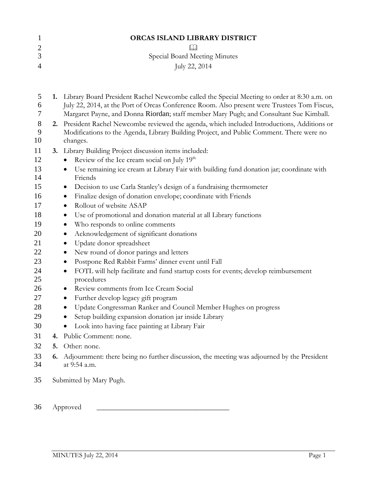|                | ORCAS ISLAND LIBRARY DISTRICT |
|----------------|-------------------------------|
|                |                               |
|                | Special Board Meeting Minutes |
| $\overline{A}$ | July 22, 2014                 |

| 5<br>6<br>7               |    | 1. Library Board President Rachel Newcombe called the Special Meeting to order at 8:30 a.m. on<br>July 22, 2014, at the Port of Orcas Conference Room. Also present were Trustees Tom Fiscus,<br>Margaret Payne, and Donna Riordan; staff member Mary Pugh; and Consultant Sue Kimball. |
|---------------------------|----|-----------------------------------------------------------------------------------------------------------------------------------------------------------------------------------------------------------------------------------------------------------------------------------------|
| $8\phantom{1}$<br>9<br>10 | 2. | President Rachel Newcombe reviewed the agenda, which included Introductions, Additions or<br>Modifications to the Agenda, Library Building Project, and Public Comment. There were no<br>changes.                                                                                       |
| 11                        |    | 3. Library Building Project discussion items included:                                                                                                                                                                                                                                  |
| 12                        |    | Review of the Ice cream social on July 19 <sup>th</sup>                                                                                                                                                                                                                                 |
| 13<br>14                  |    | Use remaining ice cream at Library Fair with building fund donation jar; coordinate with<br>$\bullet$<br>Friends                                                                                                                                                                        |
| 15                        |    | Decision to use Carla Stanley's design of a fundraising thermometer<br>$\bullet$                                                                                                                                                                                                        |
| 16                        |    | Finalize design of donation envelope; coordinate with Friends<br>$\bullet$                                                                                                                                                                                                              |
| 17                        |    | Rollout of website ASAP<br>$\bullet$                                                                                                                                                                                                                                                    |
| 18                        |    | Use of promotional and donation material at all Library functions<br>$\bullet$                                                                                                                                                                                                          |
| 19                        |    | Who responds to online comments<br>$\bullet$                                                                                                                                                                                                                                            |
| 20                        |    | Acknowledgement of significant donations<br>$\bullet$                                                                                                                                                                                                                                   |
| 21                        |    | Update donor spreadsheet<br>$\bullet$                                                                                                                                                                                                                                                   |
| 22                        |    | New round of donor parings and letters<br>$\bullet$                                                                                                                                                                                                                                     |
| 23                        |    | Postpone Red Rabbit Farms' dinner event until Fall<br>$\bullet$                                                                                                                                                                                                                         |
| 24<br>25                  |    | FOTL will help facilitate and fund startup costs for events; develop reimbursement<br>$\bullet$<br>procedures                                                                                                                                                                           |
| 26                        |    | Review comments from Ice Cream Social<br>$\bullet$                                                                                                                                                                                                                                      |
| 27                        |    | Further develop legacy gift program<br>$\bullet$                                                                                                                                                                                                                                        |
| 28                        |    | Update Congressman Ranker and Council Member Hughes on progress<br>$\bullet$                                                                                                                                                                                                            |
| 29                        |    | Setup building expansion donation jar inside Library<br>$\bullet$                                                                                                                                                                                                                       |
| 30                        |    | Look into having face painting at Library Fair<br>$\bullet$                                                                                                                                                                                                                             |
| 31                        |    | 4. Public Comment: none.                                                                                                                                                                                                                                                                |
| 32                        | 5. | Other: none.                                                                                                                                                                                                                                                                            |
| 33<br>34                  | 6. | Adjournment: there being no further discussion, the meeting was adjourned by the President<br>at 9:54 a.m.                                                                                                                                                                              |
| 35                        |    | Submitted by Mary Pugh.                                                                                                                                                                                                                                                                 |
| 36                        |    | Approved                                                                                                                                                                                                                                                                                |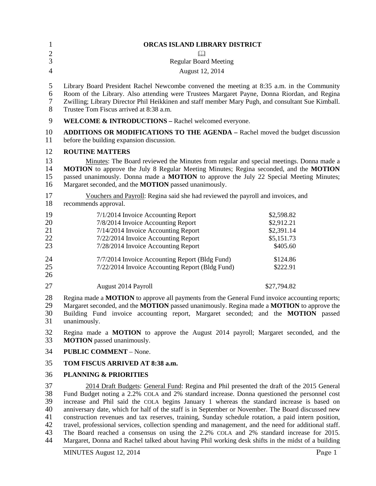| $\mathbf{1}$               | ORCAS ISLAND LIBRARY DISTRICT                                                                                                                                                                                                                                                                                                                                                                 |                                                                  |
|----------------------------|-----------------------------------------------------------------------------------------------------------------------------------------------------------------------------------------------------------------------------------------------------------------------------------------------------------------------------------------------------------------------------------------------|------------------------------------------------------------------|
| $rac{2}{3}$                | Ш                                                                                                                                                                                                                                                                                                                                                                                             |                                                                  |
|                            | <b>Regular Board Meeting</b>                                                                                                                                                                                                                                                                                                                                                                  |                                                                  |
| $\overline{4}$             | August 12, 2014                                                                                                                                                                                                                                                                                                                                                                               |                                                                  |
| 5<br>6<br>$\tau$<br>8      | Library Board President Rachel Newcombe convened the meeting at 8:35 a.m. in the Community<br>Room of the Library. Also attending were Trustees Margaret Payne, Donna Riordan, and Regina<br>Zwilling; Library Director Phil Heikkinen and staff member Mary Pugh, and consultant Sue Kimball.<br>Trustee Tom Fiscus arrived at 8:38 a.m.                                                     |                                                                  |
| $\mathbf{9}$               | WELCOME & INTRODUCTIONS - Rachel welcomed everyone.                                                                                                                                                                                                                                                                                                                                           |                                                                  |
| 10<br>11                   | <b>ADDITIONS OR MODIFICATIONS TO THE AGENDA – Rachel moved the budget discussion</b><br>before the building expansion discussion.                                                                                                                                                                                                                                                             |                                                                  |
| 12                         | <b>ROUTINE MATTERS</b>                                                                                                                                                                                                                                                                                                                                                                        |                                                                  |
| 13<br>14<br>15<br>16       | Minutes: The Board reviewed the Minutes from regular and special meetings. Donna made a<br>MOTION to approve the July 8 Regular Meeting Minutes; Regina seconded, and the MOTION<br>passed unanimously. Donna made a MOTION to approve the July 22 Special Meeting Minutes;<br>Margaret seconded, and the <b>MOTION</b> passed unanimously.                                                   |                                                                  |
| 17<br>18                   | Vouchers and Payroll: Regina said she had reviewed the payroll and invoices, and<br>recommends approval.                                                                                                                                                                                                                                                                                      |                                                                  |
| 19<br>20<br>21<br>22<br>23 | 7/1/2014 Invoice Accounting Report<br>7/8/2014 Invoice Accounting Report<br>7/14/2014 Invoice Accounting Report<br>7/22/2014 Invoice Accounting Report<br>7/28/2014 Invoice Accounting Report                                                                                                                                                                                                 | \$2,598.82<br>\$2,912.21<br>\$2,391.14<br>\$5,151.73<br>\$405.60 |
| 24<br>25<br>26             | 7/7/2014 Invoice Accounting Report (Bldg Fund)<br>7/22/2014 Invoice Accounting Report (Bldg Fund)                                                                                                                                                                                                                                                                                             | \$124.86<br>\$222.91                                             |
| 27                         | August 2014 Payroll                                                                                                                                                                                                                                                                                                                                                                           | \$27,794.82                                                      |
| 28<br>29<br>30<br>31       | Regina made a <b>MOTION</b> to approve all payments from the General Fund invoice accounting reports;<br>Margaret seconded, and the MOTION passed unanimously. Regina made a MOTION to approve the<br>Building Fund invoice accounting report, Margaret seconded; and the <b>MOTION</b> passed<br>unanimously.                                                                                |                                                                  |
| 32<br>33                   | Regina made a <b>MOTION</b> to approve the August 2014 payroll; Margaret seconded, and the<br><b>MOTION</b> passed unanimously.                                                                                                                                                                                                                                                               |                                                                  |
| 34                         | <b>PUBLIC COMMENT - None.</b>                                                                                                                                                                                                                                                                                                                                                                 |                                                                  |
| 35                         | TOM FISCUS ARRIVED AT 8:38 a.m.                                                                                                                                                                                                                                                                                                                                                               |                                                                  |
| 36                         | <b>PLANNING &amp; PRIORITIES</b>                                                                                                                                                                                                                                                                                                                                                              |                                                                  |
| 37<br>38<br>39<br>40       | 2014 Draft Budgets: General Fund: Regina and Phil presented the draft of the 2015 General<br>Fund Budget noting a 2.2% COLA and 2% standard increase. Donna questioned the personnel cost<br>increase and Phil said the COLA begins January 1 whereas the standard increase is based on<br>anniversary date, which for half of the staff is in September or November. The Board discussed new |                                                                  |

41 construction revenues and tax reserves, training, Sunday schedule rotation, a paid intern position, travel, professional services, collection spending and management, and the need for additional staff. 42 travel, professional services, collection spending and management, and the need for additional staff.<br>43 The Board reached a consensus on using the 2.2% COLA and 2% standard increase for 2015.

43 The Board reached a consensus on using the 2.2% COLA and 2% standard increase for 2015.<br>44 Margaret, Donna and Rachel talked about having Phil working desk shifts in the midst of a building Margaret, Donna and Rachel talked about having Phil working desk shifts in the midst of a building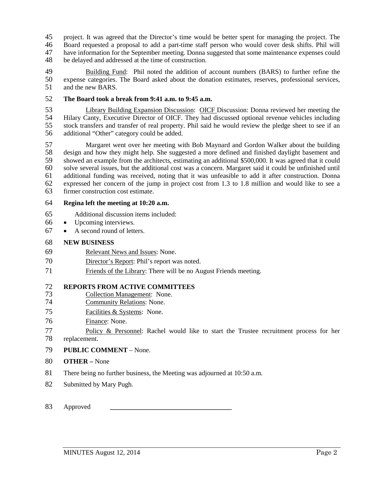- 45 project. It was agreed that the Director's time would be better spent for managing the project. The 46 Board requested a proposal to add a part-time staff person who would cover desk shifts. Phil will
- Board requested a proposal to add a part-time staff person who would cover desk shifts. Phil will
- have information for the September meeting. Donna suggested that some maintenance expenses could
- be delayed and addressed at the time of construction.

 Building Fund: Phil noted the addition of account numbers (BARS) to further refine the 50 expense categories. The Board asked about the donation estimates, reserves, professional services, and the new BARS. and the new BARS.

## **The Board took a break from 9:41 a.m. to 9:45 a.m.**

 Library Building Expansion Discussion: OICF Discussion: Donna reviewed her meeting the Hilary Canty, Executive Director of OICF. They had discussed optional revenue vehicles including stock transfers and transfer of real property. Phil said he would review the pledge sheet to see if an additional "Other" category could be added.

57 Margaret went over her meeting with Bob Maynard and Gordon Walker about the building<br>58 design and how they might help. She suggested a more defined and finished daylight basement and 58 design and how they might help. She suggested a more defined and finished daylight basement and<br>59 showed an example from the architects, estimating an additional \$500,000. It was agreed that it could 59 showed an example from the architects, estimating an additional \$500,000. It was agreed that it could solve several issues, but the additional cost was a concern. Margaret said it could be unfinished until solve several issues, but the additional cost was a concern. Margaret said it could be unfinished until additional funding was received, noting that it was unfeasible to add it after construction. Donna expressed her concern of the jump in project cost from 1.3 to 1.8 million and would like to see a firmer construction cost estimate.

### **Regina left the meeting at 10:20 a.m.**

- Additional discussion items included:
- Upcoming interviews.
- A second round of letters.

### **NEW BUSINESS**

- Relevant News and Issues: None.
- Director's Report: Phil's report was noted.
- Friends of the Library: There will be no August Friends meeting.

## 72 **REPORTS FROM ACTIVE COMMITTEES**<br>73 **Collection Management: None.**

- 73 Collection Management: None.<br>74 Community Relations: None.
- Community Relations: None.
- Facilities & Systems: None.
- Finance: None.
- Policy & Personnel: Rachel would like to start the Trustee recruitment process for her replacement.
- **PUBLIC COMMENT** None.
- **OTHER –** None
- There being no further business, the Meeting was adjourned at 10:50 a.m.
- Submitted by Mary Pugh.
- Approved **\_\_\_\_\_\_\_\_\_\_\_\_\_\_\_\_\_\_\_\_\_\_\_\_\_\_\_\_\_\_\_\_\_\_\_\_**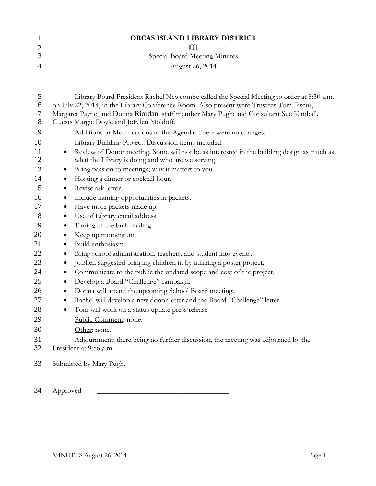|   | ORCAS ISLAND LIBRARY DISTRICT |
|---|-------------------------------|
| 2 | Ш                             |
|   | Special Board Meeting Minutes |
| 4 | August 26, 2014               |
|   |                               |

| 5<br>6         | Library Board President Rachel Newcombe called the Special Meeting to order at 8:30 a.m.<br>on July 22, 2014, in the Library Conference Room. Also present were Trustees Tom Fiscus, |
|----------------|--------------------------------------------------------------------------------------------------------------------------------------------------------------------------------------|
| $\overline{7}$ | Margaret Payne, and Donna Riordan; staff member Mary Pugh; and Consultant Sue Kimball.                                                                                               |
| 8              | Guests Margie Doyle and JoEllen Moldoff.                                                                                                                                             |
| 9              | Additions or Modifications to the Agenda: There were no changes.                                                                                                                     |
| 10             | Library Building Project: Discussion items included:                                                                                                                                 |
| 11             | Review of Donor meeting. Some will not be as interested in the building design as much as<br>$\bullet$                                                                               |
| 12             | what the Library is doing and who are we serving.                                                                                                                                    |
| 13             | Bring passion to meetings; why it matters to you.<br>$\bullet$                                                                                                                       |
| 14             | Hosting a dinner or cocktail hour.<br>$\bullet$                                                                                                                                      |
| 15             | Revise ask letter.<br>$\bullet$                                                                                                                                                      |
| 16             | Include naming opportunities in packets.<br>$\bullet$                                                                                                                                |
| 17             | Have more packets made up.<br>$\bullet$                                                                                                                                              |
| 18             | Use of Library email address.<br>$\bullet$                                                                                                                                           |
| 19             | Timing of the bulk mailing.<br>$\bullet$                                                                                                                                             |
| 20             | Keep up momentum.<br>$\bullet$                                                                                                                                                       |
| 21             | Build enthusiasm.<br>$\bullet$                                                                                                                                                       |
| 22             | Bring school administration, teachers, and student into events.<br>$\bullet$                                                                                                         |
| 23             | JoEllen suggested bringing children in by utilizing a poster project.<br>$\bullet$                                                                                                   |
| 24             | Communicate to the public the updated scope and cost of the project.<br>$\bullet$                                                                                                    |
| 25             | Develop a Board "Challenge" campaign.<br>$\bullet$                                                                                                                                   |
| 26             | Donna will attend the upcoming School Board meeting.<br>$\bullet$                                                                                                                    |
| 27             | Rachel will develop a new donor letter and the Board "Challenge" letter.<br>$\bullet$                                                                                                |
| 28             | Tom will work on a status update press release<br>$\bullet$                                                                                                                          |
| 29             | Public Comment: none.                                                                                                                                                                |
| 30             | Other: none.                                                                                                                                                                         |
| 31             | Adjournment: there being no further discussion, the meeting was adjourned by the                                                                                                     |
| 32             | President at 9:56 a.m.                                                                                                                                                               |
| 33             | Submitted by Mary Pugh.                                                                                                                                                              |
| 34             | Approved                                                                                                                                                                             |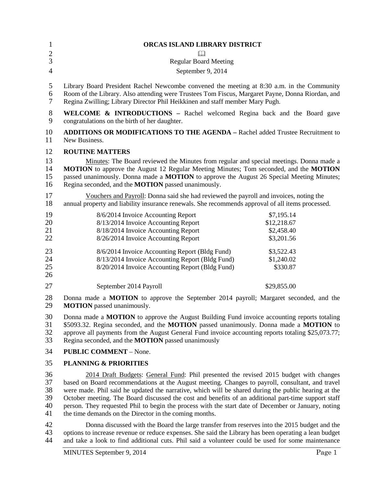| 1<br>$\overline{2}$<br>3<br>$\overline{4}$ | ORCAS ISLAND LIBRARY DISTRICT<br><b>Regular Board Meeting</b><br>September 9, 2014                                                                                                                                                                                                                                                                             |                                                       |
|--------------------------------------------|----------------------------------------------------------------------------------------------------------------------------------------------------------------------------------------------------------------------------------------------------------------------------------------------------------------------------------------------------------------|-------------------------------------------------------|
| 5<br>6<br>$\tau$                           | Library Board President Rachel Newcombe convened the meeting at 8:30 a.m. in the Community<br>Room of the Library. Also attending were Trustees Tom Fiscus, Margaret Payne, Donna Riordan, and<br>Regina Zwilling; Library Director Phil Heikkinen and staff member Mary Pugh.                                                                                 |                                                       |
| $8\,$<br>9                                 | <b>WELCOME &amp; INTRODUCTIONS</b> – Rachel welcomed Regina back and the Board gave<br>congratulations on the birth of her daughter.                                                                                                                                                                                                                           |                                                       |
| 10<br>11                                   | <b>ADDITIONS OR MODIFICATIONS TO THE AGENDA - Rachel added Trustee Recruitment to</b><br>New Business.                                                                                                                                                                                                                                                         |                                                       |
| 12                                         | <b>ROUTINE MATTERS</b>                                                                                                                                                                                                                                                                                                                                         |                                                       |
| 13<br>14<br>15<br>16                       | Minutes: The Board reviewed the Minutes from regular and special meetings. Donna made a<br>MOTION to approve the August 12 Regular Meeting Minutes; Tom seconded, and the MOTION<br>passed unanimously. Donna made a MOTION to approve the August 26 Special Meeting Minutes;<br>Regina seconded, and the MOTION passed unanimously.                           |                                                       |
| 17<br>18                                   | Vouchers and Payroll: Donna said she had reviewed the payroll and invoices, noting the<br>annual property and liability insurance renewals. She recommends approval of all items processed.                                                                                                                                                                    |                                                       |
| 19<br>20<br>21<br>22                       | 8/6/2014 Invoice Accounting Report<br>8/13/2014 Invoice Accounting Report<br>8/18/2014 Invoice Accounting Report<br>8/26/2014 Invoice Accounting Report                                                                                                                                                                                                        | \$7,195.14<br>\$12,218.67<br>\$2,458.40<br>\$3,201.56 |
| 23<br>24<br>25<br>26                       | 8/6/2014 Invoice Accounting Report (Bldg Fund)<br>8/13/2014 Invoice Accounting Report (Bldg Fund)<br>8/20/2014 Invoice Accounting Report (Bldg Fund)                                                                                                                                                                                                           | \$3,522.43<br>\$1,240.02<br>\$330.87                  |
| 27                                         | September 2014 Payroll                                                                                                                                                                                                                                                                                                                                         | \$29,855.00                                           |
| 28<br>29                                   | Donna made a MOTION to approve the September 2014 payroll; Margaret seconded, and the<br><b>MOTION</b> passed unanimously.                                                                                                                                                                                                                                     |                                                       |
| 30<br>31<br>32<br>33                       | Donna made a <b>MOTION</b> to approve the August Building Fund invoice accounting reports totaling<br>\$5093.32. Regina seconded, and the MOTION passed unanimously. Donna made a MOTION to<br>approve all payments from the August General Fund invoice accounting reports totaling \$25,073.77;<br>Regina seconded, and the <b>MOTION</b> passed unanimously |                                                       |
| 34                                         | <b>PUBLIC COMMENT - None.</b>                                                                                                                                                                                                                                                                                                                                  |                                                       |
| 35                                         | <b>PLANNING &amp; PRIORITIES</b>                                                                                                                                                                                                                                                                                                                               |                                                       |
| 36<br>37<br>$\Omega$                       | 2014 Draft Budgets: General Fund: Phil presented the revised 2015 budget with changes<br>based on Board recommendations at the August meeting. Changes to payroll, consultant, and travel                                                                                                                                                                      |                                                       |

 were made. Phil said he updated the narrative, which will be shared during the public hearing at the 39 October meeting. The Board discussed the cost and benefits of an additional part-time support staff<br>40 person. They requested Phil to begin the process with the start date of December or January, noting 40 person. They requested Phil to begin the process with the start date of December or January, noting the time demands on the Director in the coming months. the time demands on the Director in the coming months.

42 Donna discussed with the Board the large transfer from reserves into the 2015 budget and the 43 options to increase revenue or reduce expenses. She said the Library has been operating a lean budget 43 options to increase revenue or reduce expenses. She said the Library has been operating a lean budget<br>44 and take a look to find additional cuts. Phil said a volunteer could be used for some maintenance and take a look to find additional cuts. Phil said a volunteer could be used for some maintenance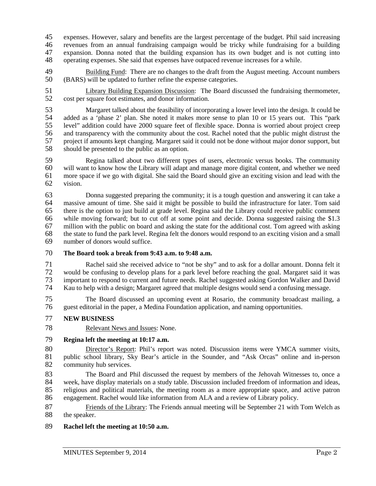45 expenses. However, salary and benefits are the largest percentage of the budget. Phil said increasing<br>46 revenues from an annual fundraising campaign would be tricky while fundraising for a building revenues from an annual fundraising campaign would be tricky while fundraising for a building expansion. Donna noted that the building expansion has its own budget and is not cutting into operating expenses. She said that expenses have outpaced revenue increases for a while.

49 Building Fund: There are no changes to the draft from the August meeting. Account numbers 50 (BARS) will be updated to further refine the expense categories.

51 Library Building Expansion Discussion: The Board discussed the fundraising thermometer,<br>52 cost per square foot estimates, and donor information. 52 cost per square foot estimates, and donor information.

53 Margaret talked about the feasibility of incorporating a lower level into the design. It could be 54 added as a 'phase 2' plan. She noted it makes more sense to plan 10 or 15 years out. This "park<br>55 level" addition could have 2000 square feet of flexible space. Donna is worried about project creep 55 level" addition could have 2000 square feet of flexible space. Donna is worried about project creep 56 and transparency with the community about the cost. Rachel noted that the public might distrust the 57 project if amounts kept changing. Margaret said it could not be done without major donor support, but should be presented to the public as an option. should be presented to the public as an option.

59 Regina talked about two different types of users, electronic versus books. The community<br>60 will want to know how the Library will adapt and manage more digital content, and whether we need will want to know how the Library will adapt and manage more digital content, and whether we need 61 more space if we go with digital. She said the Board should give an exciting vision and lead with the 62 vision.

63 Donna suggested preparing the community; it is a tough question and answering it can take a 64 massive amount of time. She said it might be possible to build the infrastructure for later. Tom said 65 there is the option to just build at grade level. Regina said the Library could receive public comment 66 while moving forward; but to cut off at some point and decide. Donna suggested raising the \$1.3<br>67 million with the public on board and asking the state for the additional cost. Tom agreed with asking 67 million with the public on board and asking the state for the additional cost. Tom agreed with asking<br>68 the state to fund the park level. Regina felt the donors would respond to an exciting vision and a small the state to fund the park level. Regina felt the donors would respond to an exciting vision and a small 69 number of donors would suffice.

## 70 **The Board took a break from 9:43 a.m. to 9:48 a.m.**

71 Rachel said she received advice to "not be shy" and to ask for a dollar amount. Donna felt it<br>72 would be confusing to develop plans for a park level before reaching the goal. Margaret said it was 72 would be confusing to develop plans for a park level before reaching the goal. Margaret said it was<br>73 important to respond to current and future needs. Rachel suggested asking Gordon Walker and David 73 important to respond to current and future needs. Rachel suggested asking Gordon Walker and David<br>74 Kau to help with a design: Margaret agreed that multiple designs would send a confusing message. Kau to help with a design; Margaret agreed that multiple designs would send a confusing message.

75 The Board discussed an upcoming event at Rosario, the community broadcast mailing, a 76 guest editorial in the paper, a Medina Foundation application, and naming opportunities.

## 77 **NEW BUSINESS**

78 Relevant News and Issues: None.

## 79 **Regina left the meeting at 10:17 a.m.**

80 Director's Report: Phil's report was noted. Discussion items were YMCA summer visits, 81 public school library, Sky Bear's article in the Sounder, and "Ask Orcas" online and in-person community hub services. community hub services.

83 The Board and Phil discussed the request by members of the Jehovah Witnesses to, once a<br>84 week, have display materials on a study table. Discussion included freedom of information and ideas, week, have display materials on a study table. Discussion included freedom of information and ideas, 85 religious and political materials, the meeting room as a more appropriate space, and active patron 86 engagement. Rachel would like information from ALA and a review of Library policy.

87 Friends of the Library: The Friends annual meeting will be September 21 with Tom Welch as 88 the speaker.

## 89 **Rachel left the meeting at 10:50 a.m.**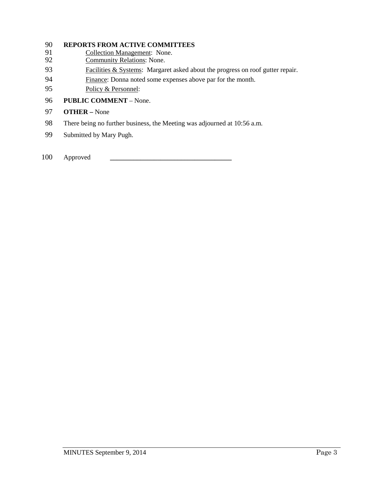# 90 **REPORTS FROM ACTIVE COMMITTEES**<br>91 **Collection Management: None.**

- Collection Management: None.
- 92 Community Relations: None.
- 93 Facilities & Systems: Margaret asked about the progress on roof gutter repair.
- 94 Finance: Donna noted some expenses above par for the month.
- 95 Policy & Personnel:
- 96 **PUBLIC COMMENT** None.
- 97 **OTHER –** None
- 98 There being no further business, the Meeting was adjourned at 10:56 a.m.
- 99 Submitted by Mary Pugh.
- 100 Approved **\_\_\_\_\_\_\_\_\_\_\_\_\_\_\_\_\_\_\_\_\_\_\_\_\_\_\_\_\_\_\_\_\_\_\_\_**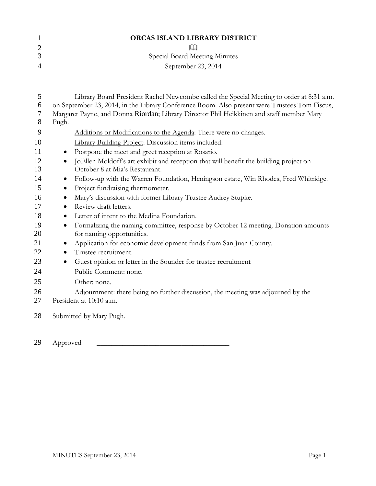|                | <b>ORCAS ISLAND LIBRARY DISTRICT</b> |
|----------------|--------------------------------------|
|                |                                      |
|                | Special Board Meeting Minutes        |
| $\overline{4}$ | September 23, 2014                   |

| 5  | Library Board President Rachel Newcombe called the Special Meeting to order at 8:31 a.m.         |  |  |  |
|----|--------------------------------------------------------------------------------------------------|--|--|--|
| 6  | on September 23, 2014, in the Library Conference Room. Also present were Trustees Tom Fiscus,    |  |  |  |
| 7  | Margaret Payne, and Donna Riordan; Library Director Phil Heikkinen and staff member Mary         |  |  |  |
| 8  | Pugh.                                                                                            |  |  |  |
| 9  | Additions or Modifications to the Agenda: There were no changes.                                 |  |  |  |
| 10 | <b>Library Building Project: Discussion items included:</b>                                      |  |  |  |
| 11 | Postpone the meet and greet reception at Rosario.<br>$\bullet$                                   |  |  |  |
| 12 | JoEllen Moldoff's art exhibit and reception that will benefit the building project on            |  |  |  |
| 13 | October 8 at Mia's Restaurant.                                                                   |  |  |  |
| 14 | Follow-up with the Warren Foundation, Heningson estate, Win Rhodes, Fred Whitridge.<br>$\bullet$ |  |  |  |
| 15 | Project fundraising thermometer.<br>$\bullet$                                                    |  |  |  |
| 16 | Mary's discussion with former Library Trustee Audrey Stupke.                                     |  |  |  |
| 17 | Review draft letters.<br>$\bullet$                                                               |  |  |  |
| 18 | Letter of intent to the Medina Foundation.<br>$\bullet$                                          |  |  |  |
| 19 | Formalizing the naming committee, response by October 12 meeting. Donation amounts<br>$\bullet$  |  |  |  |
| 20 | for naming opportunities.                                                                        |  |  |  |
| 21 | Application for economic development funds from San Juan County.<br>$\bullet$                    |  |  |  |
| 22 | Trustee recruitment.<br>$\bullet$                                                                |  |  |  |
| 23 | Guest opinion or letter in the Sounder for trustee recruitment<br>$\bullet$                      |  |  |  |
| 24 | Public Comment: none.                                                                            |  |  |  |
| 25 | Other: none.                                                                                     |  |  |  |
| 26 | Adjournment: there being no further discussion, the meeting was adjourned by the                 |  |  |  |
| 27 | President at 10:10 a.m.                                                                          |  |  |  |
| 28 | Submitted by Mary Pugh.                                                                          |  |  |  |

29 Approved \_\_\_\_\_\_\_\_\_\_\_\_\_\_\_\_\_\_\_\_\_\_\_\_\_\_\_\_\_\_\_\_\_\_\_\_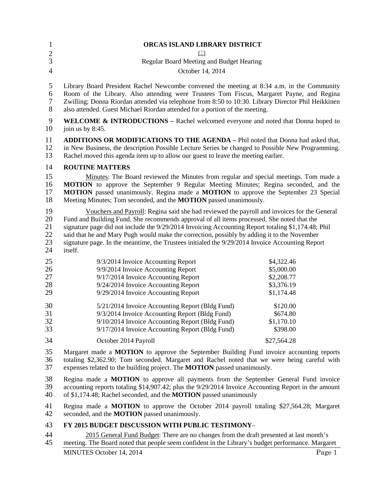| $\mathbf{1}$               | ORCAS ISLAND LIBRARY DISTRICT                                                                                                                                                                                                                                       |  |  |  |
|----------------------------|---------------------------------------------------------------------------------------------------------------------------------------------------------------------------------------------------------------------------------------------------------------------|--|--|--|
| $\overline{c}$             | Ш                                                                                                                                                                                                                                                                   |  |  |  |
| 3                          | Regular Board Meeting and Budget Hearing                                                                                                                                                                                                                            |  |  |  |
| $\overline{4}$             | October 14, 2014                                                                                                                                                                                                                                                    |  |  |  |
| 5                          | Library Board President Rachel Newcombe convened the meeting at 8:34 a.m. in the Community                                                                                                                                                                          |  |  |  |
| 6                          | Room of the Library. Also attending were Trustees Tom Fiscus, Margaret Payne, and Regina                                                                                                                                                                            |  |  |  |
| $\boldsymbol{7}$           | Zwilling; Donna Riordan attended via telephone from 8:50 to 10:30. Library Director Phil Heikkinen                                                                                                                                                                  |  |  |  |
| $8\,$                      | also attended. Guest Michael Riordan attended for a portion of the meeting.                                                                                                                                                                                         |  |  |  |
| 9                          | <b>WELCOME &amp; INTRODUCTIONS</b> – Rachel welcomed everyone and noted that Donna hoped to                                                                                                                                                                         |  |  |  |
| 10                         | join us by 8:45.                                                                                                                                                                                                                                                    |  |  |  |
| 11                         | <b>ADDITIONS OR MODIFICATIONS TO THE AGENDA - Phil noted that Donna had asked that,</b>                                                                                                                                                                             |  |  |  |
| 12                         | in New Business, the description Possible Lecture Series be changed to Possible New Programming.                                                                                                                                                                    |  |  |  |
| 13                         | Rachel moved this agenda item up to allow our guest to leave the meeting earlier.                                                                                                                                                                                   |  |  |  |
| 14                         | <b>ROUTINE MATTERS</b>                                                                                                                                                                                                                                              |  |  |  |
| 15                         | Minutes: The Board reviewed the Minutes from regular and special meetings. Tom made a                                                                                                                                                                               |  |  |  |
| 16                         | MOTION to approve the September 9 Regular Meeting Minutes; Regina seconded, and the                                                                                                                                                                                 |  |  |  |
| 17                         | <b>MOTION</b> passed unanimously. Regina made a <b>MOTION</b> to approve the September 23 Special                                                                                                                                                                   |  |  |  |
| 18                         | Meeting Minutes; Tom seconded, and the <b>MOTION</b> passed unanimously.                                                                                                                                                                                            |  |  |  |
| 19                         | Vouchers and Payroll: Regina said she had reviewed the payroll and invoices for the General                                                                                                                                                                         |  |  |  |
| 20                         | Fund and Building Fund. She recommends approval of all items processed. She noted that the                                                                                                                                                                          |  |  |  |
| 21                         | signature page did not include the 9/29/2014 Invoicing Accounting Report totaling \$1,174.48; Phil                                                                                                                                                                  |  |  |  |
| 22                         | said that he and Mary Pugh would make the correction, possibly by adding it to the November                                                                                                                                                                         |  |  |  |
| 23                         | signature page. In the meantime, the Trustees initialed the 9/29/2014 Invoice Accounting Report                                                                                                                                                                     |  |  |  |
| 24                         | itself.                                                                                                                                                                                                                                                             |  |  |  |
| 25<br>26<br>27<br>28<br>29 | 9/3/2014 Invoice Accounting Report<br>\$4,322.46<br>9/9/2014 Invoice Accounting Report<br>\$5,000.00<br>9/17/2014 Invoice Accounting Report<br>\$2,208.77<br>9/24/2014 Invoice Accounting Report<br>\$3,376.19<br>9/29/2014 Invoice Accounting Report<br>\$1,174.48 |  |  |  |
| 30<br>31<br>32<br>33       | 5/21/2014 Invoice Accounting Report (Bldg Fund)<br>\$120.00<br>9/3/2014 Invoice Accounting Report (Bldg Fund)<br>\$674.80<br>9/10/2014 Invoice Accounting Report (Bldg Fund)<br>\$1,170.10<br>9/17/2014 Invoice Accounting Report (Bldg Fund)<br>\$398.00           |  |  |  |
| 34                         | \$27,564.28<br>October 2014 Payroll                                                                                                                                                                                                                                 |  |  |  |
| 35                         | Margaret made a MOTION to approve the September Building Fund invoice accounting reports                                                                                                                                                                            |  |  |  |
| 36                         | totaling \$2,362.90; Tom seconded. Margaret and Rachel noted that we were being careful with                                                                                                                                                                        |  |  |  |
| 37                         | expenses related to the building project. The MOTION passed unanimously.                                                                                                                                                                                            |  |  |  |
| 38                         | Regina made a <b>MOTION</b> to approve all payments from the September General Fund invoice                                                                                                                                                                         |  |  |  |
| 39                         | accounting reports totaling \$14,907.42; plus the 9/29/2014 Invoice Accounting Report in the amount                                                                                                                                                                 |  |  |  |
| 40                         | of \$1,174.48; Rachel seconded, and the <b>MOTION</b> passed unanimously                                                                                                                                                                                            |  |  |  |
| 41                         | Regina made a <b>MOTION</b> to approve the October 2014 payroll totaling \$27,564.28; Margaret                                                                                                                                                                      |  |  |  |
| 42                         | seconded, and the <b>MOTION</b> passed unanimously.                                                                                                                                                                                                                 |  |  |  |

## **FY 2015 BUDGET DISCUSSION WITH PUBLIC TESTIMONY**–

2015 General Fund Budget: There are no changes from the draft presented at last month's<br>45 meeting. The Board noted that people seem confident in the Library's budget performance. Margar meeting. The Board noted that people seem confident in the Library's budget performance. Margaret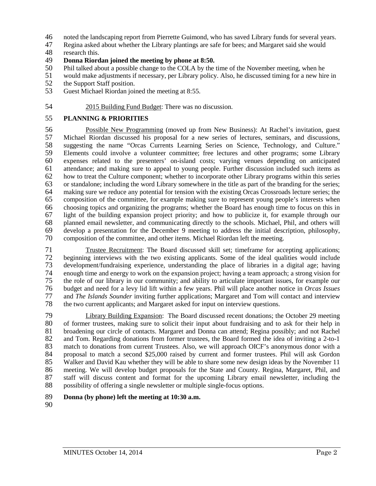- 46 noted the landscaping report from Pierrette Guimond, who has saved Library funds for several years.<br>47 Regina asked about whether the Library plantings are safe for bees; and Margaret said she would
- Regina asked about whether the Library plantings are safe for bees; and Margaret said she would
- 48 research this.

## 49 **Donna Riordan joined the meeting by phone at 8:50.**

- 50 Phil talked about a possible change to the COLA by the time of the November meeting, when he
- 51 would make adjustments if necessary, per Library policy. Also, he discussed timing for a new hire in the Support Staff position.
- 52 the Support Staff position.<br>53 Guest Michael Riordan join
- Guest Michael Riordan joined the meeting at 8:55.
- 54 2015 Building Fund Budget: There was no discussion.

### 55 **PLANNING & PRIORITIES**

 Possible New Programming (moved up from New Business): At Rachel's invitation, guest 57 Michael Riordan discussed his proposal for a new series of lectures, seminars, and discussions, suggesting the name "Orcas Currents Learning Series on Science, Technology, and Culture." 58 suggesting the name "Orcas Currents Learning Series on Science, Technology, and Culture."<br>59 Elements could involve a volunteer committee: free lectures and other programs: some Library 59 Elements could involve a volunteer committee; free lectures and other programs; some Library<br>60 expenses related to the presenters' on-island costs: varying venues depending on anticipated expenses related to the presenters' on-island costs; varying venues depending on anticipated attendance; and making sure to appeal to young people. Further discussion included such items as how to treat the Culture component; whether to incorporate other Library programs within this series or standalone; including the word Library somewhere in the title as part of the branding for the series; making sure we reduce any potential for tension with the existing Orcas Crossroads lecture series; the composition of the committee, for example making sure to represent young people's interests when choosing topics and organizing the programs; whether the Board has enough time to focus on this in light of the building expansion project priority; and how to publicize it, for example through our planned email newsletter, and communicating directly to the schools. Michael, Phil, and others will develop a presentation for the December 9 meeting to address the initial description, philosophy, composition of the committee, and other items. Michael Riordan left the meeting.

71 Trustee Recruitment: The Board discussed skill set; timeframe for accepting applications;<br>72 beginning interviews with the two existing applicants. Some of the ideal qualities would include 72 beginning interviews with the two existing applicants. Some of the ideal qualities would include<br>73 development/fundraising experience, understanding the place of libraries in a digital age; having 73 development/fundraising experience, understanding the place of libraries in a digital age; having<br>74 enough time and energy to work on the expansion project; having a team approach; a strong vision for 74 enough time and energy to work on the expansion project; having a team approach; a strong vision for 75 the role of our library in our community; and ability to articulate important issues, for example our 76 budget and need for a levy lid lift within a few years. Phil will place another notice in *Orcas Issues* 77 and *The Islands Sounder* inviting further applications; Margaret and Tom will contact and interview<br>78 the two current applicants; and Margaret asked for input on interview questions. the two current applicants; and Margaret asked for input on interview questions.

79 Library Building Expansion: The Board discussed recent donations; the October 29 meeting 80 of former trustees, making sure to solicit their input about fundraising and to ask for their help in<br>81 broadening our circle of contacts. Margaret and Donna can attend; Regina possibly; and not Rachel 81 broadening our circle of contacts. Margaret and Donna can attend; Regina possibly; and not Rachel<br>82 and Tom. Regarding donations from former trustees, the Board formed the idea of inviting a 2-to-1 82 and Tom. Regarding donations from former trustees, the Board formed the idea of inviting a 2-to-1<br>83 match to donations from current Trustees. Also, we will approach OICF's anonymous donor with a 83 match to donations from current Trustees. Also, we will approach OICF's anonymous donor with a<br>84 proposal to match a second \$25,000 raised by current and former trustees. Phil will ask Gordon 84 proposal to match a second \$25,000 raised by current and former trustees. Phil will ask Gordon 85 Walker and David Kau whether they will be able to share some new design ideas by the November 11 86 meeting. We will develop budget proposals for the State and County. Regina, Margaret, Phil, and 87 staff will discuss content and format for the upcoming Library email newsletter, including the 88 possibility of offering a single newsletter or multiple single-focus options.

### 89 **Donna (by phone) left the meeting at 10:30 a.m.**

90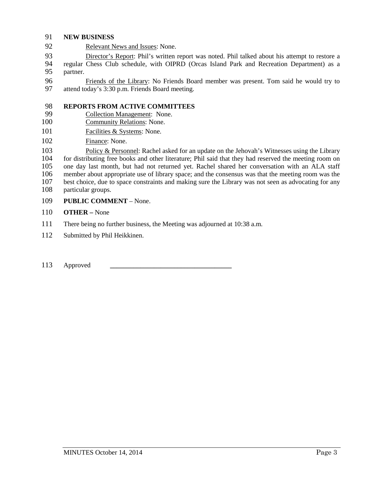### 91 **NEW BUSINESS**

92 Relevant News and Issues: None.

93 Director's Report: Phil's written report was noted. Phil talked about his attempt to restore a 94 regular Chess Club schedule, with OIPRD (Orcas Island Park and Recreation Department) as a 95 partner.

96 Friends of the Library: No Friends Board member was present. Tom said he would try to attend today's 3:30 p.m. Friends Board meeting. attend today's 3:30 p.m. Friends Board meeting.

## 98 **REPORTS FROM ACTIVE COMMITTEES**<br>99 **Collection Management: None.**

- Collection Management: None.
- 100 Community Relations: None.
- 101 Facilities & Systems: None.
- 102 Finance: None.

103 Policy & Personnel: Rachel asked for an update on the Jehovah's Witnesses using the Library<br>104 for distributing free books and other literature: Phil said that they had reserved the meeting room on 104 for distributing free books and other literature; Phil said that they had reserved the meeting room on<br>105 one day last month, but had not returned vet. Rachel shared her conversation with an ALA staff one day last month, but had not returned yet. Rachel shared her conversation with an ALA staff member about appropriate use of library space; and the consensus was that the meeting room was the best choice, due to space constraints and making sure the Library was not seen as advocating for any particular groups.

- 109 **PUBLIC COMMENT** None.
- 110 **OTHER –** None
- 111 There being no further business, the Meeting was adjourned at 10:38 a.m.
- 112 Submitted by Phil Heikkinen.
- 113 Approved **\_\_\_\_\_\_\_\_\_\_\_\_\_\_\_\_\_\_\_\_\_\_\_\_\_\_\_\_\_\_\_\_\_\_\_\_**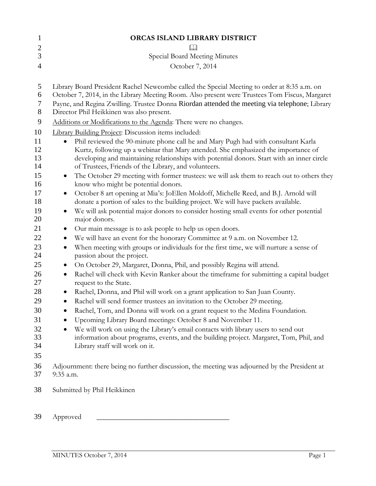| $\mathbf{1}$        | ORCAS ISLAND LIBRARY DISTRICT                                                                                                                 |  |  |
|---------------------|-----------------------------------------------------------------------------------------------------------------------------------------------|--|--|
| $\overline{c}$      |                                                                                                                                               |  |  |
| 3                   | Special Board Meeting Minutes                                                                                                                 |  |  |
| $\overline{4}$      | October 7, 2014                                                                                                                               |  |  |
| 5                   | Library Board President Rachel Newcombe called the Special Meeting to order at 8:35 a.m. on                                                   |  |  |
| 6                   | October 7, 2014, in the Library Meeting Room. Also present were Trustees Tom Fiscus, Margaret                                                 |  |  |
| 7<br>$8\phantom{1}$ | Payne, and Regina Zwilling. Trustee Donna Riordan attended the meeting via telephone; Library<br>Director Phil Heikkinen was also present.    |  |  |
| 9                   | Additions or Modifications to the Agenda: There were no changes.                                                                              |  |  |
| 10                  | <b>Library Building Project: Discussion items included:</b>                                                                                   |  |  |
| 11                  | Phil reviewed the 90-minute phone call he and Mary Pugh had with consultant Karla                                                             |  |  |
| 12                  | Kurtz, following up a webinar that Mary attended. She emphasized the importance of                                                            |  |  |
| 13                  | developing and maintaining relationships with potential donors. Start with an inner circle                                                    |  |  |
| 14                  | of Trustees, Friends of the Library, and volunteers.                                                                                          |  |  |
| 15<br>16            | The October 29 meeting with former trustees: we will ask them to reach out to others they<br>$\bullet$<br>know who might be potential donors. |  |  |
| 17                  | October 8 art opening at Mia's: JoEllen Moldoff, Michelle Reed, and B.J. Arnold will<br>$\bullet$                                             |  |  |
| 18                  | donate a portion of sales to the building project. We will have packets available.                                                            |  |  |
| 19<br>20            | We will ask potential major donors to consider hosting small events for other potential<br>major donors.                                      |  |  |
| 21                  | Our main message is to ask people to help us open doors.<br>$\bullet$                                                                         |  |  |
| 22                  | We will have an event for the honorary Committee at 9 a.m. on November 12.                                                                    |  |  |
| 23<br>24            | When meeting with groups or individuals for the first time, we will nurture a sense of<br>٠<br>passion about the project.                     |  |  |
| 25                  | On October 29, Margaret, Donna, Phil, and possibly Regina will attend.<br>$\bullet$                                                           |  |  |
| 26<br>27            | Rachel will check with Kevin Ranker about the timeframe for submitting a capital budget<br>٠<br>request to the State.                         |  |  |
| 28                  | Rachel, Donna, and Phil will work on a grant application to San Juan County.<br>$\bullet$                                                     |  |  |
| 29                  | Rachel will send former trustees an invitation to the October 29 meeting.<br>$\bullet$                                                        |  |  |
| 30                  | Rachel, Tom, and Donna will work on a grant request to the Medina Foundation.                                                                 |  |  |
| 31                  | Upcoming Library Board meetings: October 8 and November 11.                                                                                   |  |  |
| 32                  | We will work on using the Library's email contacts with library users to send out<br>٠                                                        |  |  |
| 33                  | information about programs, events, and the building project. Margaret, Tom, Phil, and                                                        |  |  |
| 34                  | Library staff will work on it.                                                                                                                |  |  |
| 35                  |                                                                                                                                               |  |  |
| 36<br>37            | Adjournment: there being no further discussion, the meeting was adjourned by the President at<br>9:35 a.m.                                    |  |  |
|                     |                                                                                                                                               |  |  |
| 38                  | Submitted by Phil Heikkinen                                                                                                                   |  |  |
|                     |                                                                                                                                               |  |  |
|                     |                                                                                                                                               |  |  |

Approved \_\_\_\_\_\_\_\_\_\_\_\_\_\_\_\_\_\_\_\_\_\_\_\_\_\_\_\_\_\_\_\_\_\_\_\_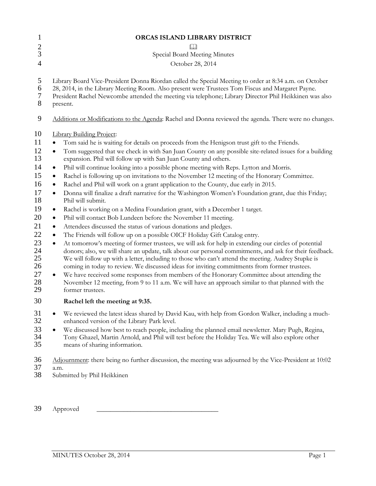|        | ORCAS ISLAND LIBRARY DISTRICT                                                                                                                                                                                                                                                                                                    |  |  |
|--------|----------------------------------------------------------------------------------------------------------------------------------------------------------------------------------------------------------------------------------------------------------------------------------------------------------------------------------|--|--|
| $\Box$ |                                                                                                                                                                                                                                                                                                                                  |  |  |
|        | Special Board Meeting Minutes                                                                                                                                                                                                                                                                                                    |  |  |
|        | October 28, 2014                                                                                                                                                                                                                                                                                                                 |  |  |
|        | Library Board Vice-President Donna Riordan called the Special Meeting to order at 8:34 a.m. on October<br>28, 2014, in the Library Meeting Room. Also present were Trustees Tom Fiscus and Margaret Payne.<br>President Rachel Newcombe attended the meeting via telephone; Library Director Phil Heikkinen was also<br>present. |  |  |
|        | Additions or Modifications to the Agenda: Rachel and Donna reviewed the agenda. There were no changes.                                                                                                                                                                                                                           |  |  |
|        | <b>Library Building Project:</b>                                                                                                                                                                                                                                                                                                 |  |  |
|        | Tom said he is waiting for details on proceeds from the Henigson trust gift to the Friends.                                                                                                                                                                                                                                      |  |  |
|        | Tom suggested that we check in with San Juan County on any possible site-related issues for a building<br>٠<br>expansion. Phil will follow up with San Juan County and others.                                                                                                                                                   |  |  |
|        | Phil will continue looking into a possible phone meeting with Reps. Lytton and Morris.<br>٠                                                                                                                                                                                                                                      |  |  |
|        | Rachel is following up on invitations to the November 12 meeting of the Honorary Committee.<br>٠                                                                                                                                                                                                                                 |  |  |
|        | Rachel and Phil will work on a grant application to the County, due early in 2015.<br>٠                                                                                                                                                                                                                                          |  |  |
|        | Donna will finalize a draft narrative for the Washington Women's Foundation grant, due this Friday;<br>$\bullet$<br>Phil will submit.                                                                                                                                                                                            |  |  |
|        | Rachel is working on a Medina Foundation grant, with a December 1 target.<br>$\bullet$                                                                                                                                                                                                                                           |  |  |
|        | Phil will contact Bob Lundeen before the November 11 meeting.<br>٠                                                                                                                                                                                                                                                               |  |  |
|        | Attendees discussed the status of various donations and pledges.<br>٠                                                                                                                                                                                                                                                            |  |  |
|        | The Friends will follow up on a possible OICF Holiday Gift Catalog entry.<br>٠                                                                                                                                                                                                                                                   |  |  |
|        | At tomorrow's meeting of former trustees, we will ask for help in extending our circles of potential<br>$\bullet$                                                                                                                                                                                                                |  |  |
|        | donors; also, we will share an update, talk about our personal commitments, and ask for their feedback.<br>We will follow up with a letter, including to those who can't attend the meeting. Audrey Stupke is<br>coming in today to review. We discussed ideas for inviting commitments from former trustees.                    |  |  |
|        | We have received some responses from members of the Honorary Committee about attending the<br>$\bullet$                                                                                                                                                                                                                          |  |  |
|        | November 12 meeting, from 9 to 11 a.m. We will have an approach similar to that planned with the<br>former trustees.                                                                                                                                                                                                             |  |  |
|        | Rachel left the meeting at 9:35.                                                                                                                                                                                                                                                                                                 |  |  |
|        | We reviewed the latest ideas shared by David Kau, with help from Gordon Walker, including a much-<br>$\bullet$<br>enhanced version of the Library Park level.                                                                                                                                                                    |  |  |
|        | We discussed how best to reach people, including the planned email newsletter. Mary Pugh, Regina,<br>$\bullet$<br>Tony Ghazel, Martin Arnold, and Phil will test before the Holiday Tea. We will also explore other<br>means of sharing information.                                                                             |  |  |
|        | Adjournment: there being no further discussion, the meeting was adjourned by the Vice-President at 10:02                                                                                                                                                                                                                         |  |  |
|        | a.m.                                                                                                                                                                                                                                                                                                                             |  |  |
|        | Submitted by Phil Heikkinen                                                                                                                                                                                                                                                                                                      |  |  |
|        |                                                                                                                                                                                                                                                                                                                                  |  |  |
|        | Approved                                                                                                                                                                                                                                                                                                                         |  |  |
|        |                                                                                                                                                                                                                                                                                                                                  |  |  |
|        |                                                                                                                                                                                                                                                                                                                                  |  |  |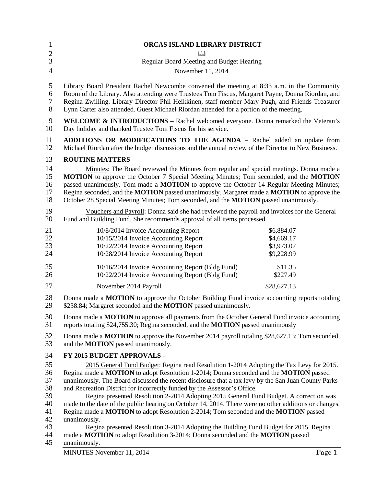| 1                                | ORCAS ISLAND LIBRARY DISTRICT                                                                                                                                                                  |             |  |  |
|----------------------------------|------------------------------------------------------------------------------------------------------------------------------------------------------------------------------------------------|-------------|--|--|
| $\overline{c}$<br>$\overline{3}$ |                                                                                                                                                                                                |             |  |  |
| $\overline{4}$                   | Regular Board Meeting and Budget Hearing                                                                                                                                                       |             |  |  |
|                                  | November 11, 2014                                                                                                                                                                              |             |  |  |
| 5                                | Library Board President Rachel Newcombe convened the meeting at 8:33 a.m. in the Community                                                                                                     |             |  |  |
| 6                                | Room of the Library. Also attending were Trustees Tom Fiscus, Margaret Payne, Donna Riordan, and                                                                                               |             |  |  |
| $\boldsymbol{7}$                 | Regina Zwilling. Library Director Phil Heikkinen, staff member Mary Pugh, and Friends Treasurer                                                                                                |             |  |  |
| 8                                | Lynn Carter also attended. Guest Michael Riordan attended for a portion of the meeting.                                                                                                        |             |  |  |
| 9                                | WELCOME & INTRODUCTIONS - Rachel welcomed everyone. Donna remarked the Veteran's                                                                                                               |             |  |  |
| 10                               | Day holiday and thanked Trustee Tom Fiscus for his service.                                                                                                                                    |             |  |  |
| 11                               | <b>ADDITIONS OR MODIFICATIONS TO THE AGENDA – Rachel added an update from</b>                                                                                                                  |             |  |  |
| 12                               | Michael Riordan after the budget discussions and the annual review of the Director to New Business.                                                                                            |             |  |  |
| 13                               | <b>ROUTINE MATTERS</b>                                                                                                                                                                         |             |  |  |
| 14                               | Minutes: The Board reviewed the Minutes from regular and special meetings. Donna made a                                                                                                        |             |  |  |
| 15                               | MOTION to approve the October 7 Special Meeting Minutes; Tom seconded, and the MOTION                                                                                                          |             |  |  |
| 16                               | passed unanimously. Tom made a MOTION to approve the October 14 Regular Meeting Minutes;                                                                                                       |             |  |  |
| 17                               | Regina seconded, and the MOTION passed unanimously. Margaret made a MOTION to approve the                                                                                                      |             |  |  |
| 18                               | October 28 Special Meeting Minutes; Tom seconded, and the <b>MOTION</b> passed unanimously.                                                                                                    |             |  |  |
| 19                               | Vouchers and Payroll: Donna said she had reviewed the payroll and invoices for the General                                                                                                     |             |  |  |
| 20                               | Fund and Building Fund. She recommends approval of all items processed.                                                                                                                        |             |  |  |
| 21                               | 10/8/2014 Invoice Accounting Report                                                                                                                                                            | \$6,884.07  |  |  |
| 22                               | 10/15/2014 Invoice Accounting Report                                                                                                                                                           | \$4,669.17  |  |  |
| 23                               | 10/22/2014 Invoice Accounting Report                                                                                                                                                           | \$3,973.07  |  |  |
| 24                               | 10/28/2014 Invoice Accounting Report                                                                                                                                                           | \$9,228.99  |  |  |
| 25                               | 10/16/2014 Invoice Accounting Report (Bldg Fund)                                                                                                                                               | \$11.35     |  |  |
| 26                               | 10/22/2014 Invoice Accounting Report (Bldg Fund)                                                                                                                                               | \$227.49    |  |  |
| 27                               | November 2014 Payroll                                                                                                                                                                          | \$28,627.13 |  |  |
| 28                               | Donna made a <b>MOTION</b> to approve the October Building Fund invoice accounting reports totaling                                                                                            |             |  |  |
| 29                               | \$238.84; Margaret seconded and the MOTION passed unanimously.                                                                                                                                 |             |  |  |
| 30<br>31                         | Donna made a <b>MOTION</b> to approve all payments from the October General Fund invoice accounting<br>reports totaling \$24,755.30; Regina seconded, and the <b>MOTION</b> passed unanimously |             |  |  |
| 32                               | Donna made a <b>MOTION</b> to approve the November 2014 payroll totaling \$28,627.13; Tom seconded,                                                                                            |             |  |  |
| 33                               | and the <b>MOTION</b> passed unanimously.                                                                                                                                                      |             |  |  |
| 34                               | FY 2015 BUDGET APPROVALS -                                                                                                                                                                     |             |  |  |
| 35                               | 2015 General Fund Budget: Regina read Resolution 1-2014 Adopting the Tax Levy for 2015.                                                                                                        |             |  |  |
| 36                               | Regina made a MOTION to adopt Resolution 1-2014; Donna seconded and the MOTION passed                                                                                                          |             |  |  |
| 37                               | unanimously. The Board discussed the recent disclosure that a tax levy by the San Juan County Parks                                                                                            |             |  |  |
| 38                               | and Recreation District for incorrectly funded by the Assessor's Office.                                                                                                                       |             |  |  |
| 39                               | Regina presented Resolution 2-2014 Adopting 2015 General Fund Budget. A correction was                                                                                                         |             |  |  |
| 40                               | made to the date of the public hearing on October 14, 2014. There were no other additions or changes.                                                                                          |             |  |  |
| 41                               | Regina made a MOTION to adopt Resolution 2-2014; Tom seconded and the MOTION passed                                                                                                            |             |  |  |
| 42                               | unanimously.                                                                                                                                                                                   |             |  |  |
| 43                               | Regina presented Resolution 3-2014 Adopting the Building Fund Budget for 2015. Regina                                                                                                          |             |  |  |
| 44<br>45                         | made a <b>MOTION</b> to adopt Resolution 3-2014; Donna seconded and the <b>MOTION</b> passed<br>unanimously.                                                                                   |             |  |  |

unanimously.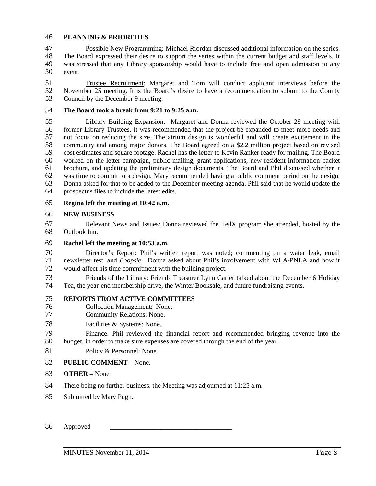### **PLANNING & PRIORITIES**

 Possible New Programming: Michael Riordan discussed additional information on the series. The Board expressed their desire to support the series within the current budget and staff levels. It was stressed that any Library sponsorship would have to include free and open admission to any event.

51 Trustee Recruitment: Margaret and Tom will conduct applicant interviews before the<br>52 November 25 meeting. It is the Board's desire to have a recommendation to submit to the County 52 November 25 meeting. It is the Board's desire to have a recommendation to submit to the County<br>53 Council by the December 9 meeting. Council by the December 9 meeting.

### **The Board took a break from 9:21 to 9:25 a.m.**

55 Library Building Expansion: Margaret and Donna reviewed the October 29 meeting with<br>56 former Library Trustees. It was recommended that the project be expanded to meet more needs and former Library Trustees. It was recommended that the project be expanded to meet more needs and not focus on reducing the size. The atrium design is wonderful and will create excitement in the 58 community and among major donors. The Board agreed on a \$2.2 million project based on revised<br>59 cost estimates and square footage. Rachel has the letter to Kevin Ranker ready for mailing. The Board 59 cost estimates and square footage. Rachel has the letter to Kevin Ranker ready for mailing. The Board<br>60 worked on the letter cannaign, public mailing, grant applications, new resident information packet worked on the letter campaign, public mailing, grant applications, new resident information packet brochure, and updating the preliminary design documents. The Board and Phil discussed whether it was time to commit to a design. Mary recommended having a public comment period on the design. Donna asked for that to be added to the December meeting agenda. Phil said that he would update the prospectus files to include the latest edits.

#### **Regina left the meeting at 10:42 a.m.**

### **NEW BUSINESS**

 Relevant News and Issues: Donna reviewed the TedX program she attended, hosted by the Outlook Inn.

### **Rachel left the meeting at 10:53 a.m.**

 Director's Report: Phil's written report was noted; commenting on a water leak, email newsletter test, and *Boopsie*. Donna asked about Phil's involvement with WLA-PNLA and how it would affect his time commitment with the building project.

Triends of the Library: Friends Treasurer Lynn Carter talked about the December 6 Holiday<br>
The Teather vear-end membership drive the Winter Booksale and future fundraising events Tea, the year-end membership drive, the Winter Booksale, and future fundraising events.

### **REPORTS FROM ACTIVE COMMITTEES**

- 76 Collection Management: None.<br>77 Community Relations: None.
- Community Relations: None.

## 78 Facilities & Systems: None.

 Finance: Phil reviewed the financial report and recommended bringing revenue into the budget, in order to make sure expenses are covered through the end of the year.

81 Policy & Personnel: None.

### **PUBLIC COMMENT** – None.

- **OTHER –** None
- There being no further business, the Meeting was adjourned at 11:25 a.m.
- Submitted by Mary Pugh.

Approved **\_\_\_\_\_\_\_\_\_\_\_\_\_\_\_\_\_\_\_\_\_\_\_\_\_\_\_\_\_\_\_\_\_\_\_\_**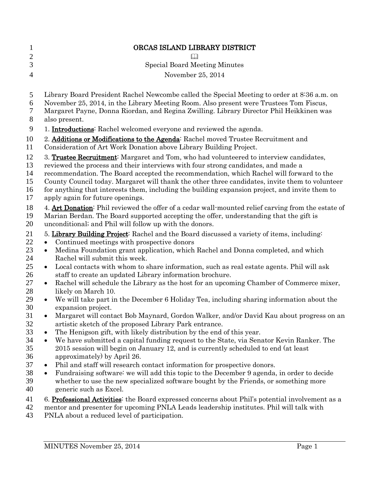|           | ORCAS ISLAND LIBRARY DISTRICT                                                                                                                                                                                                                                                                                                                                                                                                                                                                                  |
|-----------|----------------------------------------------------------------------------------------------------------------------------------------------------------------------------------------------------------------------------------------------------------------------------------------------------------------------------------------------------------------------------------------------------------------------------------------------------------------------------------------------------------------|
|           | <b>Special Board Meeting Minutes</b>                                                                                                                                                                                                                                                                                                                                                                                                                                                                           |
|           |                                                                                                                                                                                                                                                                                                                                                                                                                                                                                                                |
|           | November 25, 2014                                                                                                                                                                                                                                                                                                                                                                                                                                                                                              |
|           | Library Board President Rachel Newcombe called the Special Meeting to order at 8:36 a.m. on<br>November 25, 2014, in the Library Meeting Room. Also present were Trustees Tom Fiscus,<br>Margaret Payne, Donna Riordan, and Regina Zwilling. Library Director Phil Heikkinen was<br>also present.                                                                                                                                                                                                              |
|           | 1. <b>Introductions</b> : Rachel welcomed everyone and reviewed the agenda.                                                                                                                                                                                                                                                                                                                                                                                                                                    |
|           | 2. Additions or Modifications to the Agenda: Rachel moved Trustee Recruitment and<br>Consideration of Art Work Donation above Library Building Project.                                                                                                                                                                                                                                                                                                                                                        |
|           | 3. Trustee Recruitment: Margaret and Tom, who had volunteered to interview candidates,<br>reviewed the process and their interviews with four strong candidates, and made a<br>recommendation. The Board accepted the recommendation, which Rachel will forward to the<br>County Council today. Margaret will thank the other three candidates, invite them to volunteer<br>for anything that interests them, including the building expansion project, and invite them to<br>apply again for future openings. |
|           | 4. Art Donation: Phil reviewed the offer of a cedar wall-mounted relief carving from the estate of<br>Marian Berdan. The Board supported accepting the offer, understanding that the gift is<br>unconditional; and Phil will follow up with the donors.                                                                                                                                                                                                                                                        |
|           | 5. Library Building Project: Rachel and the Board discussed a variety of items, including:<br>Continued meetings with prospective donors<br>$\bullet$<br>Medina Foundation grant application, which Rachel and Donna completed, and which<br>$\bullet$                                                                                                                                                                                                                                                         |
| $\bullet$ | Rachel will submit this week.<br>Local contacts with whom to share information, such as real estate agents. Phil will ask                                                                                                                                                                                                                                                                                                                                                                                      |
| $\bullet$ | staff to create an updated Library information brochure.<br>Rachel will schedule the Library as the host for an upcoming Chamber of Commerce mixer,                                                                                                                                                                                                                                                                                                                                                            |
|           | likely on March 10.<br>We will take part in the December 6 Holiday Tea, including sharing information about the<br>$\bullet$                                                                                                                                                                                                                                                                                                                                                                                   |
|           | expansion project.<br>Margaret will contact Bob Maynard, Gordon Walker, and/or David Kau about progress on an<br>artistic sketch of the proposed Library Park entrance.                                                                                                                                                                                                                                                                                                                                        |
|           | The Henigson gift, with likely distribution by the end of this year.<br>$\bullet$<br>We have submitted a capital funding request to the State, via Senator Kevin Ranker. The<br>$\bullet$<br>2015 session will begin on January 12, and is currently scheduled to end (at least<br>approximately) by April 26.                                                                                                                                                                                                 |
|           | Phil and staff will research contact information for prospective donors.<br>٠<br>Fundraising software: we will add this topic to the December 9 agenda, in order to decide<br>$\bullet$<br>whether to use the new specialized software bought by the Friends, or something more<br>generic such as Excel.                                                                                                                                                                                                      |
|           | 6. <b>Professional Activities</b> : the Board expressed concerns about Phil's potential involvement as a<br>mentor and presenter for upcoming PNLA Leads leadership institutes. Phil will talk with<br>PNLA about a reduced level of participation.                                                                                                                                                                                                                                                            |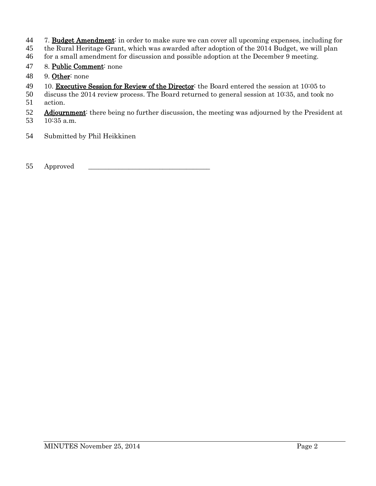7. Budget Amendment: in order to make sure we can cover all upcoming expenses, including for

the Rural Heritage Grant, which was awarded after adoption of the 2014 Budget, we will plan

for a small amendment for discussion and possible adoption at the December 9 meeting.

- 8. Public Comment: none
- 9. Other: none
- 49 10. Executive Session for Review of the Director: the Board entered the session at 10:05 to

 discuss the 2014 review process. The Board returned to general session at 10:35, and took no action.

- Adjournment: there being no further discussion, the meeting was adjourned by the President at 10:35 a.m.
- Submitted by Phil Heikkinen

55 Approved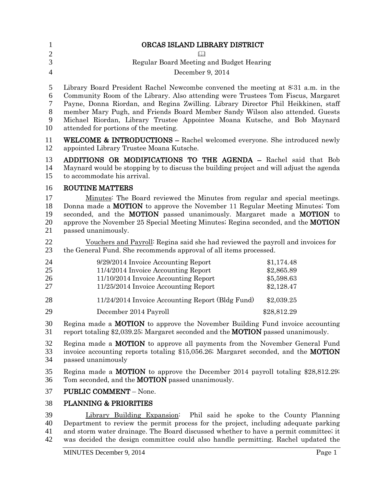| 1                                | ORCAS ISLAND LIBRARY DISTRICT                                                                                                                                                                                                                                                                                                                                                                                                                                    |                                                      |  |
|----------------------------------|------------------------------------------------------------------------------------------------------------------------------------------------------------------------------------------------------------------------------------------------------------------------------------------------------------------------------------------------------------------------------------------------------------------------------------------------------------------|------------------------------------------------------|--|
| $\mathbf{2}$<br>3                | $\Box$                                                                                                                                                                                                                                                                                                                                                                                                                                                           |                                                      |  |
| $\overline{4}$                   | Regular Board Meeting and Budget Hearing<br>December 9, 2014                                                                                                                                                                                                                                                                                                                                                                                                     |                                                      |  |
| 5<br>6<br>$\tau$<br>8<br>9<br>10 | Library Board President Rachel Newcombe convened the meeting at 8:31 a.m. in the<br>Community Room of the Library. Also attending were Trustees Tom Fiscus, Margaret<br>Payne, Donna Riordan, and Regina Zwilling. Library Director Phil Heikkinen, staff<br>member Mary Pugh, and Friends Board Member Sandy Wilson also attended. Guests<br>Michael Riordan, Library Trustee Appointee Moana Kutsche, and Bob Maynard<br>attended for portions of the meeting. |                                                      |  |
| 11<br>12                         | <b>WELCOME &amp; INTRODUCTIONS</b> – Rachel welcomed everyone. She introduced newly<br>appointed Library Trustee Moana Kutsche.                                                                                                                                                                                                                                                                                                                                  |                                                      |  |
| 13<br>14<br>15                   | ADDITIONS OR MODIFICATIONS TO THE AGENDA - Rachel said that Bob<br>Maynard would be stopping by to discuss the building project and will adjust the agenda<br>to accommodate his arrival.                                                                                                                                                                                                                                                                        |                                                      |  |
| 16                               | <b>ROUTINE MATTERS</b>                                                                                                                                                                                                                                                                                                                                                                                                                                           |                                                      |  |
| 17<br>18<br>19<br>20<br>21       | Minutes: The Board reviewed the Minutes from regular and special meetings.<br>Donna made a <b>MOTION</b> to approve the November 11 Regular Meeting Minutes; Tom<br>seconded, and the <b>MOTION</b> passed unanimously. Margaret made a <b>MOTION</b> to<br>approve the November 25 Special Meeting Minutes; Regina seconded, and the <b>MOTION</b><br>passed unanimously.                                                                                       |                                                      |  |
| 22<br>23                         | Vouchers and Payroll: Regina said she had reviewed the payroll and invoices for<br>the General Fund. She recommends approval of all items processed.                                                                                                                                                                                                                                                                                                             |                                                      |  |
| 24<br>25<br>26<br>27             | 9/29/2014 Invoice Accounting Report<br>11/4/2014 Invoice Accounting Report<br>11/10/2014 Invoice Accounting Report<br>11/25/2014 Invoice Accounting Report                                                                                                                                                                                                                                                                                                       | \$1,174.48<br>\$2,865.89<br>\$5,598.63<br>\$2,128.47 |  |
| 28                               | 11/24/2014 Invoice Accounting Report (Bldg Fund)                                                                                                                                                                                                                                                                                                                                                                                                                 | \$2,039.25                                           |  |
| 29                               | December 2014 Payroll                                                                                                                                                                                                                                                                                                                                                                                                                                            | \$28,812.29                                          |  |
| 30<br>31                         | Regina made a <b>MOTION</b> to approve the November Building Fund invoice accounting<br>report totaling \$2,039.25; Margaret seconded and the <b>MOTION</b> passed unanimously.                                                                                                                                                                                                                                                                                  |                                                      |  |
| 32<br>33<br>34                   | Regina made a <b>MOTION</b> to approve all payments from the November General Fund<br>invoice accounting reports totaling \$15,056.26; Margaret seconded, and the <b>MOTION</b><br>passed unanimously                                                                                                                                                                                                                                                            |                                                      |  |
| 35<br>36                         | Regina made a <b>MOTION</b> to approve the December 2014 payroll totaling \$28,812.29;<br>Tom seconded, and the <b>MOTION</b> passed unanimously.                                                                                                                                                                                                                                                                                                                |                                                      |  |
| 37                               | <b>PUBLIC COMMENT - None.</b>                                                                                                                                                                                                                                                                                                                                                                                                                                    |                                                      |  |
| 38                               | <b>PLANNING &amp; PRIORITIES</b>                                                                                                                                                                                                                                                                                                                                                                                                                                 |                                                      |  |

 Library Building Expansion: Phil said he spoke to the County Planning Department to review the permit process for the project, including adequate parking and storm water drainage. The Board discussed whether to have a permit committee; it was decided the design committee could also handle permitting. Rachel updated the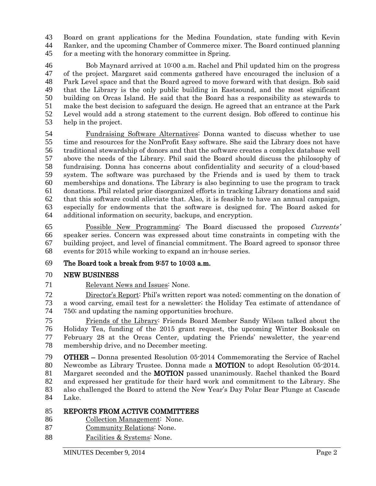Board on grant applications for the Medina Foundation, state funding with Kevin Ranker, and the upcoming Chamber of Commerce mixer. The Board continued planning for a meeting with the honorary committee in Spring.

 Bob Maynard arrived at 10:00 a.m. Rachel and Phil updated him on the progress of the project. Margaret said comments gathered have encouraged the inclusion of a Park Level space and that the Board agreed to move forward with that design. Bob said that the Library is the only public building in Eastsound, and the most significant building on Orcas Island. He said that the Board has a responsibility as stewards to make the best decision to safeguard the design. He agreed that an entrance at the Park Level would add a strong statement to the current design. Bob offered to continue his help in the project.

54 Fundraising Software Alternatives: Donna wanted to discuss whether to use<br>55 time and resources for the NonProfit Easy software. She said the Library does not have time and resources for the NonProfit Easy software. She said the Library does not have traditional stewardship of donors and that the software creates a complex database well above the needs of the Library. Phil said the Board should discuss the philosophy of fundraising. Donna has concerns about confidentiality and security of a cloud-based system. The software was purchased by the Friends and is used by them to track memberships and donations. The Library is also beginning to use the program to track donations. Phil related prior disorganized efforts in tracking Library donations and said that this software could alleviate that. Also, it is feasible to have an annual campaign, especially for endowments that the software is designed for. The Board asked for additional information on security, backups, and encryption.

 Possible New Programming: The Board discussed the proposed Currents' speaker series. Concern was expressed about time constraints in competing with the building project, and level of financial commitment. The Board agreed to sponsor three events for 2015 while working to expand an in-house series.

## The Board took a break from 9:57 to 10:03 a.m.

## NEW BUSINESS

Relevant News and Issues: None.

 Director's Report: Phil's written report was noted; commenting on the donation of a wood carving, email test for a newsletter; the Holiday Tea estimate of attendance of 750; and updating the naming opportunities brochure.

 Friends of the Library: Friends Board Member Sandy Wilson talked about the Holiday Tea, funding of the 2015 grant request, the upcoming Winter Booksale on February 28 at the Orcas Center, updating the Friends' newsletter, the year-end membership drive, and no December meeting.

 OTHER – Donna presented Resolution 05-2014 Commemorating the Service of Rachel Newcombe as Library Trustee. Donna made a MOTION to adopt Resolution 05-2014. 81 Margaret seconded and the **MOTION** passed unanimously. Rachel thanked the Board and expressed her gratitude for their hard work and commitment to the Library. She also challenged the Board to attend the New Year's Day Polar Bear Plunge at Cascade Lake.

## REPORTS FROM ACTIVE COMMITTEES

- Collection Management: None.
- Community Relations: None.
- 88 Facilities & Systems: None.